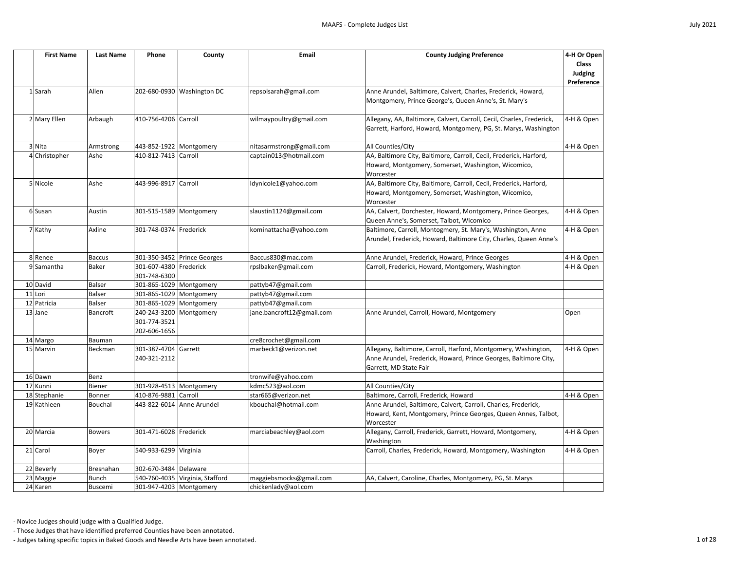

| <b>First Name</b> | <b>Last Name</b> | Phone                                                   | County                          | Email                     | <b>County Judging Preference</b>                                                                                                                             | 4-H Or Open<br><b>Class</b><br>Judging<br>Preference |
|-------------------|------------------|---------------------------------------------------------|---------------------------------|---------------------------|--------------------------------------------------------------------------------------------------------------------------------------------------------------|------------------------------------------------------|
| 1 Sarah           | Allen            |                                                         | 202-680-0930 Washington DC      | repsolsarah@gmail.com     | Anne Arundel, Baltimore, Calvert, Charles, Frederick, Howard,<br>Montgomery, Prince George's, Queen Anne's, St. Mary's                                       |                                                      |
| 2 Mary Ellen      | Arbaugh          | 410-756-4206 Carroll                                    |                                 | wilmaypoultry@gmail.com   | Allegany, AA, Baltimore, Calvert, Carroll, Cecil, Charles, Frederick,<br>Garrett, Harford, Howard, Montgomery, PG, St. Marys, Washington                     | 4-H & Open                                           |
| 3 Nita            | Armstrong        | 443-852-1922 Montgomery                                 |                                 | nitasarmstrong@gmail.com  | All Counties/City                                                                                                                                            | 4-H & Open                                           |
| 4 Christopher     | Ashe             | 410-812-7413 Carroll                                    |                                 | captain013@hotmail.com    | AA, Baltimore City, Baltimore, Carroll, Cecil, Frederick, Harford,<br>Howard, Montgomery, Somerset, Washington, Wicomico,<br>Worcester                       |                                                      |
| 5 Nicole          | Ashe             | 443-996-8917 Carroll                                    |                                 | ldynicole1@yahoo.com      | AA, Baltimore City, Baltimore, Carroll, Cecil, Frederick, Harford,<br>Howard, Montgomery, Somerset, Washington, Wicomico,<br>Worcester                       |                                                      |
| 6 Susan           | Austin           | 301-515-1589 Montgomery                                 |                                 | slaustin1124@gmail.com    | AA, Calvert, Dorchester, Howard, Montgomery, Prince Georges,<br>Queen Anne's, Somerset, Talbot, Wicomico                                                     | 4-H & Open                                           |
| 7 Kathy           | Axline           | 301-748-0374 Frederick                                  |                                 | kominattacha@yahoo.com    | Baltimore, Carroll, Montogmery, St. Mary's, Washington, Anne<br>Arundel, Frederick, Howard, Baltimore City, Charles, Queen Anne's                            | 4-H & Open                                           |
| 8 Renee           | <b>Baccus</b>    |                                                         | 301-350-3452 Prince Georges     | Baccus830@mac.com         | Anne Arundel, Frederick, Howard, Prince Georges                                                                                                              | 4-H & Open                                           |
| 9 Samantha        | <b>Baker</b>     | 301-607-4380 Frederick<br>301-748-6300                  |                                 | rpslbaker@gmail.com       | Carroll, Frederick, Howard, Montgomery, Washington                                                                                                           | 4-H & Open                                           |
| 10 David          | <b>Balser</b>    | 301-865-1029 Montgomery                                 |                                 | pattyb47@gmail.com        |                                                                                                                                                              |                                                      |
| 11 Lori           | Balser           | 301-865-1029 Montgomery                                 |                                 | pattyb47@gmail.com        |                                                                                                                                                              |                                                      |
| 12 Patricia       | <b>Balser</b>    | 301-865-1029 Montgomery                                 |                                 | pattyb47@gmail.com        |                                                                                                                                                              |                                                      |
| 13 Jane           | Bancroft         | 240-243-3200 Montgomery<br>301-774-3521<br>202-606-1656 |                                 | jane.bancroft12@gmail.com | Anne Arundel, Carroll, Howard, Montgomery                                                                                                                    | Open                                                 |
| 14 Margo          | Bauman           |                                                         |                                 | cre8crochet@gmail.com     |                                                                                                                                                              |                                                      |
| 15 Marvin         | Beckman          | 301-387-4704 Garrett<br>240-321-2112                    |                                 | marbeck1@verizon.net      | Allegany, Baltimore, Carroll, Harford, Montgomery, Washington,<br>Anne Arundel, Frederick, Howard, Prince Georges, Baltimore City,<br>Garrett, MD State Fair | 4-H & Open                                           |
| 16 Dawn           | Benz             |                                                         |                                 | tronwife@yahoo.com        |                                                                                                                                                              |                                                      |
| 17 Kunni          | Biener           | 301-928-4513 Montgomery                                 |                                 | kdmc523@aol.com           | All Counties/City                                                                                                                                            |                                                      |
| 18 Stephanie      | Bonner           | 410-876-9881 Carroll                                    |                                 | star665@verizon.net       | Baltimore, Carroll, Frederick, Howard                                                                                                                        | 4-H & Open                                           |
| 19 Kathleen       | Bouchal          |                                                         | 443-822-6014 Anne Arundel       | kbouchal@hotmail.com      | Anne Arundel, Baltimore, Calvert, Carroll, Charles, Frederick,<br>Howard, Kent, Montgomery, Prince Georges, Queen Annes, Talbot,<br>Worcester                |                                                      |
| 20 Marcia         | <b>Bowers</b>    | 301-471-6028 Frederick                                  |                                 | marciabeachley@aol.com    | Allegany, Carroll, Frederick, Garrett, Howard, Montgomery,<br>Washington                                                                                     | 4-H & Open                                           |
| 21 Carol          | Boyer            | 540-933-6299 Virginia                                   |                                 |                           | Carroll, Charles, Frederick, Howard, Montgomery, Washington                                                                                                  | 4-H & Open                                           |
| 22 Beverly        | Bresnahan        | 302-670-3484 Delaware                                   |                                 |                           |                                                                                                                                                              |                                                      |
| 23 Maggie         | <b>Bunch</b>     |                                                         | 540-760-4035 Virginia, Stafford | maggiebsmocks@gmail.com   | AA, Calvert, Caroline, Charles, Montgomery, PG, St. Marys                                                                                                    |                                                      |
| 24 Karen          | Buscemi          | 301-947-4203 Montgomery                                 |                                 | chickenlady@aol.com       |                                                                                                                                                              |                                                      |

- Those Judges that have identified preferred Counties have been annotated.

- Judges taking specific topics in Baked Goods and Needle Arts have been annotated. 1 of 28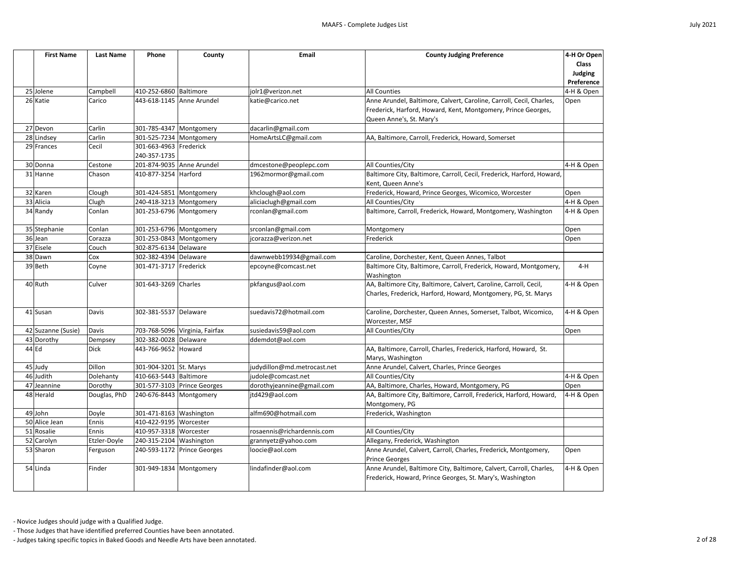| <b>First Name</b>  | <b>Last Name</b> | Phone                     | County                         | Email                       | <b>County Judging Preference</b>                                                                                                    | 4-H Or Open<br><b>Class</b><br>Judging<br>Preference |  |  |
|--------------------|------------------|---------------------------|--------------------------------|-----------------------------|-------------------------------------------------------------------------------------------------------------------------------------|------------------------------------------------------|--|--|
| 25 Jolene          | Campbell         | 410-252-6860 Baltimore    |                                | jolr1@verizon.net           | <b>All Counties</b>                                                                                                                 | 4-H & Open                                           |  |  |
| 26 Katie           | Carico           | 443-618-1145 Anne Arundel |                                | katie@carico.net            | Anne Arundel, Baltimore, Calvert, Caroline, Carroll, Cecil, Charles,                                                                | Open                                                 |  |  |
|                    |                  |                           |                                |                             | Frederick, Harford, Howard, Kent, Montgomery, Prince Georges,                                                                       |                                                      |  |  |
|                    |                  |                           |                                |                             | Queen Anne's, St. Mary's                                                                                                            |                                                      |  |  |
| 27 Devon           | Carlin           | 301-785-4347 Montgomery   |                                | dacarlin@gmail.com          |                                                                                                                                     |                                                      |  |  |
| 28 Lindsey         | Carlin           | 301-525-7234 Montgomery   |                                | HomeArtsLC@gmail.com        | AA, Baltimore, Carroll, Frederick, Howard, Somerset                                                                                 |                                                      |  |  |
| 29 Frances         | Cecil            | 301-663-4963 Frederick    |                                |                             |                                                                                                                                     |                                                      |  |  |
|                    |                  | 240-357-1735              |                                |                             |                                                                                                                                     |                                                      |  |  |
| 30 Donna           | Cestone          |                           | 201-874-9035 Anne Arundel      | dmcestone@peoplepc.com      | All Counties/City                                                                                                                   | 4-H & Open                                           |  |  |
| 31 Hanne           | Chason           | 410-877-3254 Harford      |                                | 1962mormor@gmail.com        | Baltimore City, Baltimore, Carroll, Cecil, Frederick, Harford, Howard,                                                              |                                                      |  |  |
|                    |                  |                           |                                |                             | Kent, Queen Anne's                                                                                                                  |                                                      |  |  |
| 32 Karen           | Clough           | 301-424-5851 Montgomery   |                                | khclough@aol.com            | Frederick, Howard, Prince Georges, Wicomico, Worcester                                                                              | Open                                                 |  |  |
| 33 Alicia          | Clugh            | 240-418-3213 Montgomery   |                                | aliciaclugh@gmail.com       | All Counties/City                                                                                                                   | 4-H & Open                                           |  |  |
| 34 Randy           | Conlan           | 301-253-6796 Montgomery   |                                | rconlan@gmail.com           | Baltimore, Carroll, Frederick, Howard, Montgomery, Washington                                                                       | 4-H & Open                                           |  |  |
| 35 Stephanie       | Conlan           | 301-253-6796 Montgomery   |                                | srconlan@gmail.com          | Montgomery                                                                                                                          | Open                                                 |  |  |
| 36 Jean            | Corazza          | 301-253-0843 Montgomery   |                                | jcorazza@verizon.net        | Frederick                                                                                                                           | Open                                                 |  |  |
| 37 Eisele          | Couch            | 302-875-6134 Delaware     |                                |                             |                                                                                                                                     |                                                      |  |  |
| 38 Dawn            | Cox              | 302-382-4394 Delaware     |                                | dawnwebb19934@gmail.com     | Caroline, Dorchester, Kent, Queen Annes, Talbot                                                                                     |                                                      |  |  |
| 39 Beth            | Coyne            | 301-471-3717 Frederick    |                                | epcoyne@comcast.net         | Baltimore City, Baltimore, Carroll, Frederick, Howard, Montgomery,                                                                  | $4-H$                                                |  |  |
|                    |                  |                           |                                |                             | Washington                                                                                                                          |                                                      |  |  |
| 40 Ruth            | Culver           | 301-643-3269 Charles      |                                | pkfangus@aol.com            | AA, Baltimore City, Baltimore, Calvert, Caroline, Carroll, Cecil,<br>Charles, Frederick, Harford, Howard, Montgomery, PG, St. Marys | 4-H & Open                                           |  |  |
| 41 Susan           | Davis            | 302-381-5537 Delaware     |                                | suedavis72@hotmail.com      | Caroline, Dorchester, Queen Annes, Somerset, Talbot, Wicomico,<br>Worcester, MSF                                                    | 4-H & Open                                           |  |  |
| 42 Suzanne (Susie) | Davis            |                           | 703-768-5096 Virginia, Fairfax | susiedavis59@aol.com        | All Counties/City                                                                                                                   | Open                                                 |  |  |
| 43 Dorothy         | Dempsey          | 302-382-0028 Delaware     |                                | ddemdot@aol.com             |                                                                                                                                     |                                                      |  |  |
| 44 Ed              | <b>Dick</b>      | 443-766-9652 Howard       |                                |                             | AA, Baltimore, Carroll, Charles, Frederick, Harford, Howard, St.<br>Marys, Washington                                               |                                                      |  |  |
| 45 Judy            | Dillon           | 301-904-3201 St. Marys    |                                | judydillon@md.metrocast.net | Anne Arundel, Calvert, Charles, Prince Georges                                                                                      |                                                      |  |  |
| 46 Judith          | Dolehanty        | 410-663-5443 Baltimore    |                                | judole@comcast.net          | All Counties/City                                                                                                                   | 4-H & Open                                           |  |  |
| 47 Jeannine        | Dorothy          |                           | 301-577-3103 Prince Georges    | dorothyjeannine@gmail.com   | AA, Baltimore, Charles, Howard, Montgomery, PG                                                                                      | Open                                                 |  |  |
| 48 Herald          | Douglas, PhD     | 240-676-8443 Montgomery   |                                | jtd429@aol.com              | AA, Baltimore City, Baltimore, Carroll, Frederick, Harford, Howard,<br>Montgomery, PG                                               | 4-H & Open                                           |  |  |
| 49 John            | Doyle            | 301-471-8163 Washington   |                                | alfm690@hotmail.com         | Frederick, Washington                                                                                                               |                                                      |  |  |
| 50 Alice Jean      | <b>Ennis</b>     | 410-422-9195 Worcester    |                                |                             |                                                                                                                                     |                                                      |  |  |
| 51 Rosalie         | Ennis            | 410-957-3318 Worcester    |                                | rosaennis@richardennis.com  | All Counties/City                                                                                                                   |                                                      |  |  |
| 52 Carolyn         | Etzler-Doyle     | 240-315-2104 Washington   |                                | grannyetz@yahoo.com         | Allegany, Frederick, Washington                                                                                                     |                                                      |  |  |
| 53 Sharon          | Ferguson         |                           | 240-593-1172 Prince Georges    | loocie@aol.com              | Anne Arundel, Calvert, Carroll, Charles, Frederick, Montgomery,<br><b>Prince Georges</b>                                            | Open                                                 |  |  |
| 54 Linda           | Finder           | 301-949-1834 Montgomery   |                                | lindafinder@aol.com         | Anne Arundel, Baltimore City, Baltimore, Calvert, Carroll, Charles,<br>Frederick, Howard, Prince Georges, St. Mary's, Washington    |                                                      |  |  |



- Those Judges that have identified preferred Counties have been annotated.

- Judges taking specific topics in Baked Goods and Needle Arts have been annotated. 2 of 28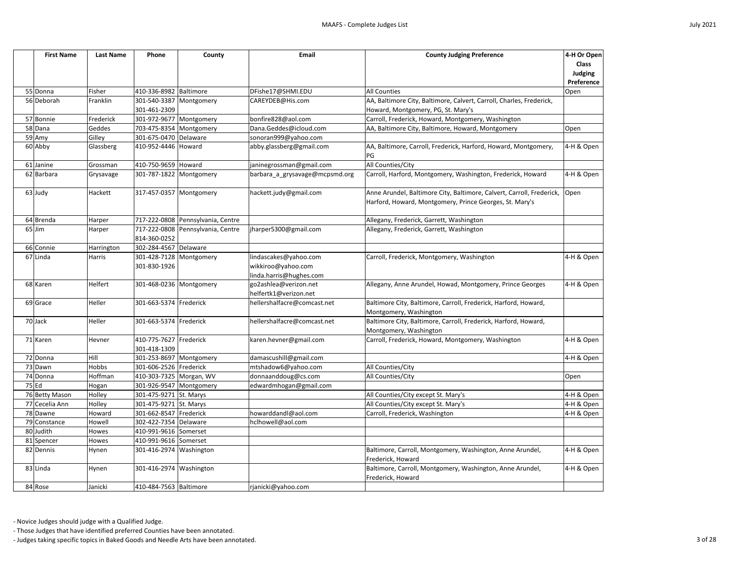| <b>First Name</b> | <b>Last Name</b> | Phone                   | County                            | Email                          | <b>County Judging Preference</b>                                                          | 4-H Or Open<br><b>Class</b> |
|-------------------|------------------|-------------------------|-----------------------------------|--------------------------------|-------------------------------------------------------------------------------------------|-----------------------------|
|                   |                  |                         |                                   |                                |                                                                                           | Judging<br>Preference       |
| 55 Donna          | Fisher           | 410-336-8982 Baltimore  |                                   | DFishe17@SHMI.EDU              | <b>All Counties</b>                                                                       | Open                        |
| 56 Deborah        | Franklin         | 301-540-3387 Montgomery |                                   | CAREYDEB@His.com               | AA, Baltimore City, Baltimore, Calvert, Carroll, Charles, Frederick,                      |                             |
|                   |                  | 301-461-2309            |                                   |                                | Howard, Montgomery, PG, St. Mary's                                                        |                             |
| 57 Bonnie         | Frederick        | 301-972-9677 Montgomery |                                   | bonfire828@aol.com             | Carroll, Frederick, Howard, Montgomery, Washington                                        |                             |
| 58 Dana           | <b>Geddes</b>    | 703-475-8354 Montgomery |                                   | Dana.Geddes@icloud.com         | AA, Baltimore City, Baltimore, Howard, Montgomery                                         | Open                        |
| 59 Amy            | Gilley           | 301-675-0470 Delaware   |                                   | sonoran999@yahoo.com           |                                                                                           |                             |
| 60 Abby           | Glassberg        | 410-952-4446 Howard     |                                   | abby.glassberg@gmail.com       | AA, Baltimore, Carroll, Frederick, Harford, Howard, Montgomery,<br>lPG.                   | 4-H & Open                  |
| 61 Janine         | Grossman         | 410-750-9659 Howard     |                                   | janinegrossman@gmail.com       | All Counties/City                                                                         |                             |
| 62 Barbara        | Grysavage        | 301-787-1822 Montgomery |                                   | barbara_a_grysavage@mcpsmd.org | Carroll, Harford, Montgomery, Washington, Frederick, Howard                               | 4-H & Open                  |
| 63 Judy           | Hackett          | 317-457-0357 Montgomery |                                   | hackett.judy@gmail.com         | Anne Arundel, Baltimore City, Baltimore, Calvert, Carroll, Frederick,                     | Open                        |
|                   |                  |                         |                                   |                                | Harford, Howard, Montgomery, Prince Georges, St. Mary's                                   |                             |
| 64 Brenda         | Harper           |                         | 717-222-0808 Pennsylvania, Centre |                                | Allegany, Frederick, Garrett, Washington                                                  |                             |
| $65$ Jim          | Harper           |                         | 717-222-0808 Pennsylvania, Centre | jharper5300@gmail.com          | Allegany, Frederick, Garrett, Washington                                                  |                             |
|                   |                  | 814-360-0252            |                                   |                                |                                                                                           |                             |
| 66 Connie         | Harrington       | 302-284-4567 Delaware   |                                   |                                |                                                                                           |                             |
| 67 Linda          | Harris           |                         | 301-428-7128 Montgomery           | lindascakes@yahoo.com          | Carroll, Frederick, Montgomery, Washington                                                | 4-H & Open                  |
|                   |                  | 301-830-1926            |                                   | wikkiroo@yahoo.com             |                                                                                           |                             |
|                   |                  |                         |                                   | linda.harris@hughes.com        |                                                                                           |                             |
| 68 Karen          | Helfert          | 301-468-0236 Montgomery |                                   | go2ashlea@verizon.net          | Allegany, Anne Arundel, Howad, Montgomery, Prince Georges                                 | 4-H & Open                  |
|                   |                  |                         |                                   | helfertk1@verizon.net          |                                                                                           |                             |
| 69 Grace          | Heller           | 301-663-5374 Frederick  |                                   | hellershalfacre@comcast.net    | Baltimore City, Baltimore, Carroll, Frederick, Harford, Howard,<br>Montgomery, Washington |                             |
| 70 Jack           | Heller           | 301-663-5374 Frederick  |                                   | hellershalfacre@comcast.net    | Baltimore City, Baltimore, Carroll, Frederick, Harford, Howard,<br>Montgomery, Washington |                             |
| 71 Karen          | Hevner           | 410-775-7627 Frederick  |                                   | karen.hevner@gmail.com         | Carroll, Frederick, Howard, Montgomery, Washington                                        | 4-H & Open                  |
|                   |                  | 301-418-1309            |                                   |                                |                                                                                           |                             |
| 72 Donna          | Hill             | 301-253-8697 Montgomery |                                   | damascushill@gmail.com         |                                                                                           | 4-H & Open                  |
| 73 Dawn           | Hobbs            | 301-606-2526 Frederick  |                                   | mtshadow6@yahoo.com            | All Counties/City                                                                         |                             |
| 74 Donna          | Hoffman          | 410-303-7325 Morgan, WV |                                   | donnaanddoug@cs.com            | All Counties/City                                                                         | Open                        |
| $75$ Ed           | Hogan            | 301-926-9547 Montgomery |                                   | edwardmhogan@gmail.com         |                                                                                           |                             |
| 76 Betty Mason    | Holley           | 301-475-9271 St. Marys  |                                   |                                | All Counties/City except St. Mary's                                                       | 4-H & Open                  |
| 77 Cecelia Ann    | Holley           | 301-475-9271 St. Marys  |                                   |                                | All Counties/City except St. Mary's                                                       | 4-H & Open                  |
| 78 Dawne          | Howard           | 301-662-8547 Frederick  |                                   | howarddandl@aol.com            | Carroll, Frederick, Washington                                                            | 4-H & Open                  |
| 79 Constance      | Howell           | 302-422-7354 Delaware   |                                   | hclhowell@aol.com              |                                                                                           |                             |
| 80 Judith         | Howes            | 410-991-9616 Somerset   |                                   |                                |                                                                                           |                             |
| 81 Spencer        | Howes            | 410-991-9616 Somerset   |                                   |                                |                                                                                           |                             |
| 82 Dennis         | Hynen            | 301-416-2974 Washington |                                   |                                | Baltimore, Carroll, Montgomery, Washington, Anne Arundel,<br>Frederick, Howard            | 4-H & Open                  |
| 83 Linda          | Hynen            | 301-416-2974 Washington |                                   |                                | Baltimore, Carroll, Montgomery, Washington, Anne Arundel,<br>Frederick, Howard            | 4-H & Open                  |
| 84 Rose           | Janicki          | 410-484-7563 Baltimore  |                                   | rjanicki@yahoo.com             |                                                                                           |                             |
|                   |                  |                         |                                   |                                |                                                                                           |                             |



- Those Judges that have identified preferred Counties have been annotated.

- Judges taking specific topics in Baked Goods and Needle Arts have been annotated. 3 of 28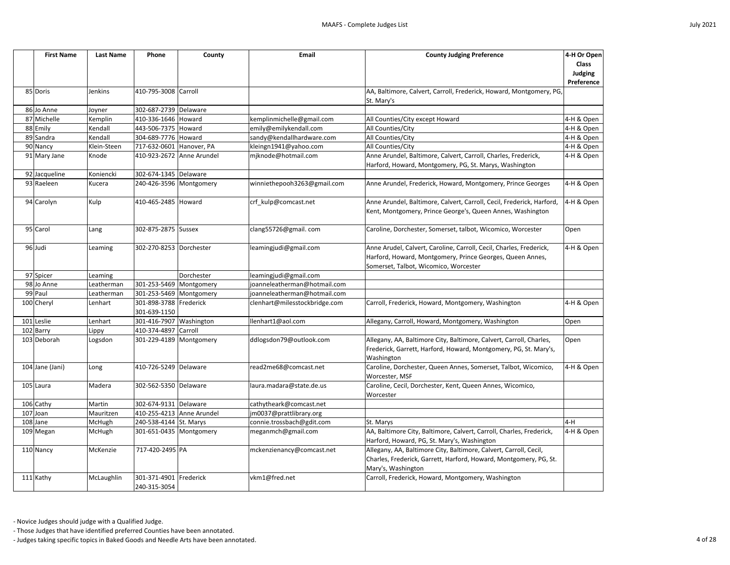| <b>First Name</b> | <b>Last Name</b> | Phone                        | County     | Email                         | <b>County Judging Preference</b>                                                                                                                                          | 4-H Or Open<br><b>Class</b><br><b>Judging</b><br>Preference |
|-------------------|------------------|------------------------------|------------|-------------------------------|---------------------------------------------------------------------------------------------------------------------------------------------------------------------------|-------------------------------------------------------------|
| 85 Doris          | Jenkins          | 410-795-3008                 | Carroll    |                               | AA, Baltimore, Calvert, Carroll, Frederick, Howard, Montgomery, PG,<br>St. Mary's                                                                                         |                                                             |
| 86 Jo Anne        | Joyner           | 302-687-2739 Delaware        |            |                               |                                                                                                                                                                           |                                                             |
| 87 Michelle       | Kemplin          | 410-336-1646 Howard          |            | kemplinmichelle@gmail.com     | All Counties/City except Howard                                                                                                                                           | 4-H & Open                                                  |
| 88 Emily          | Kendall          | 443-506-7375 Howard          |            | emily@emilykendall.com        | All Counties/City                                                                                                                                                         | 4-H & Open                                                  |
| 89 Sandra         | Kendall          | 304-689-7776                 | Howard     | sandy@kendallhardware.com     | All Counties/City                                                                                                                                                         | 4-H & Open                                                  |
| 90 Nancy          | Klein-Steen      | 717-632-0601 Hanover, PA     |            | kleingn1941@yahoo.com         | All Counties/City                                                                                                                                                         | 4-H & Open                                                  |
| 91 Mary Jane      | Knode            | 410-923-2672 Anne Arundel    |            | mjknode@hotmail.com           | Anne Arundel, Baltimore, Calvert, Carroll, Charles, Frederick,<br>Harford, Howard, Montgomery, PG, St. Marys, Washington                                                  | 4-H & Open                                                  |
| 92 Jacqueline     | Koniencki        | 302-674-1345 Delaware        |            |                               |                                                                                                                                                                           |                                                             |
| 93 Raeleen        | Kucera           | 240-426-3596   Montgomery    |            | winniethepooh3263@gmail.com   | Anne Arundel, Frederick, Howard, Montgomery, Prince Georges                                                                                                               | 4-H & Open                                                  |
| 94 Carolyn        | Kulp             | 410-465-2485                 | Howard     | crf_kulp@comcast.net          | Anne Arundel, Baltimore, Calvert, Carroll, Cecil, Frederick, Harford,<br>Kent, Montgomery, Prince George's, Queen Annes, Washington                                       | 4-H & Open                                                  |
| 95 Carol          | Lang             | 302-875-2875 Sussex          |            | clang55726@gmail.com          | Caroline, Dorchester, Somerset, talbot, Wicomico, Worcester                                                                                                               | Open                                                        |
| 96 Judi           | Leaming          | 302-270-8253 Dorchester      |            | leamingjudi@gmail.com         | Anne Arudel, Calvert, Caroline, Carroll, Cecil, Charles, Frederick,<br>Harford, Howard, Montgomery, Prince Georges, Queen Annes,<br>Somerset, Talbot, Wicomico, Worcester | 4-H & Open                                                  |
| 97 Spicer         | Leaming          |                              | Dorchester | leamingjudi@gmail.com         |                                                                                                                                                                           |                                                             |
| 98 Jo Anne        | Leatherman       | 301-253-5469                 | Montgomery | joanneleatherman@hotmail.com  |                                                                                                                                                                           |                                                             |
| 99 Paul           | Leatherman       | 301-253-5469                 | Montgomery | joanneleatherman@hotmail.com  |                                                                                                                                                                           |                                                             |
| 100 Cheryl        | Lenhart          | 301-898-3788                 | Frederick  | clenhart@milesstockbridge.com | Carroll, Frederick, Howard, Montgomery, Washington                                                                                                                        | 4-H & Open                                                  |
|                   |                  | 301-639-1150                 |            |                               |                                                                                                                                                                           |                                                             |
| 101 Leslie        | Lenhart          | 301-416-7907                 | Washington | llenhart1@aol.com             | Allegany, Carroll, Howard, Montgomery, Washington                                                                                                                         | Open                                                        |
| 102 Barry         | Lippy            | 410-374-4897                 | Carroll    |                               |                                                                                                                                                                           |                                                             |
| 103 Deborah       | Logsdon          | 301-229-4189   Montgomery    |            | ddlogsdon79@outlook.com       | Allegany, AA, Baltimore City, Baltimore, Calvert, Carroll, Charles,<br>Frederick, Garrett, Harford, Howard, Montgomery, PG, St. Mary's,<br>Washington                     | Open                                                        |
| 104 Jane (Jani)   | Long             | 410-726-5249 Delaware        |            | read2me68@comcast.net         | Caroline, Dorchester, Queen Annes, Somerset, Talbot, Wicomico,<br>Worcester, MSF                                                                                          | 4-H & Open                                                  |
| 105 Laura         | Madera           | 302-562-5350 Delaware        |            | laura.madara@state.de.us      | Caroline, Cecil, Dorchester, Kent, Queen Annes, Wicomico,<br>Worcester                                                                                                    |                                                             |
| 106 Cathy         | Martin           | 302-674-9131 Delaware        |            | cathytheark@comcast.net       |                                                                                                                                                                           |                                                             |
| 107 Joan          | Mauritzen        | 410-255-4213 Anne Arundel    |            | jm0037@prattlibrary.org       |                                                                                                                                                                           |                                                             |
| 108 Jane          | McHugh           | 240-538-4144 St. Marys       |            | connie.trossbach@gdit.com     | St. Marys                                                                                                                                                                 | 4-H                                                         |
| 109 Megan         | McHugh           | 301-651-0435 Montgomery      |            | meganmch@gmail.com            | AA, Baltimore City, Baltimore, Calvert, Carroll, Charles, Frederick,<br>Harford, Howard, PG, St. Mary's, Washington                                                       | 4-H & Open                                                  |
| 110 Nancy         | McKenzie         | 717-420-2495 PA              |            | mckenzienancy@comcast.net     | Allegany, AA, Baltimore City, Baltimore, Calvert, Carroll, Cecil,<br>Charles, Frederick, Garrett, Harford, Howard, Montgomery, PG, St.<br>Mary's, Washington              |                                                             |
| 111 Kathy         | McLaughlin       | 301-371-4901<br>240-315-3054 | Frederick  | vkm1@fred.net                 | Carroll, Frederick, Howard, Montgomery, Washington                                                                                                                        |                                                             |

- Those Judges that have identified preferred Counties have been annotated.

- Judges taking specific topics in Baked Goods and Needle Arts have been annotated. 4 of 28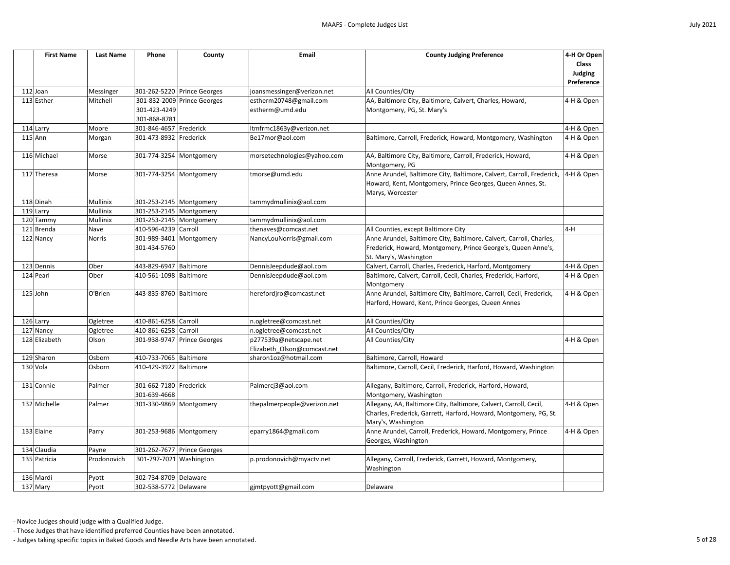| <b>First Name</b> | <b>Last Name</b> | Phone                   | County                      | Email                       | <b>County Judging Preference</b>                                      | 4-H Or Open    |
|-------------------|------------------|-------------------------|-----------------------------|-----------------------------|-----------------------------------------------------------------------|----------------|
|                   |                  |                         |                             |                             |                                                                       | <b>Class</b>   |
|                   |                  |                         |                             |                             |                                                                       | <b>Judging</b> |
|                   |                  |                         |                             |                             |                                                                       | Preference     |
| 112 Joan          | Messinger        |                         | 301-262-5220 Prince Georges | joansmessinger@verizon.net  | All Counties/City                                                     |                |
| 113 Esther        | Mitchell         |                         | 301-832-2009 Prince Georges | estherm20748@gmail.com      | AA, Baltimore City, Baltimore, Calvert, Charles, Howard,              | 4-H & Open     |
|                   |                  | 301-423-4249            |                             | estherm@umd.edu             | Montgomery, PG, St. Mary's                                            |                |
|                   |                  | 301-868-8781            |                             |                             |                                                                       |                |
| 114 Larry         | Moore            | 301-846-4657 Frederick  |                             | ltmfrmc1863y@verizon.net    |                                                                       | 4-H & Open     |
| $115$ Ann         | Morgan           | 301-473-8932 Frederick  |                             | Be17mor@aol.com             | Baltimore, Carroll, Frederick, Howard, Montgomery, Washington         | 4-H & Open     |
| 116 Michael       | Morse            | 301-774-3254 Montgomery |                             | morsetechnologies@yahoo.com | AA, Baltimore City, Baltimore, Carroll, Frederick, Howard,            | 4-H & Open     |
|                   |                  |                         |                             |                             | Montgomery, PG                                                        |                |
| 117 Theresa       | Morse            | 301-774-3254 Montgomery |                             | tmorse@umd.edu              | Anne Arundel, Baltimore City, Baltimore, Calvert, Carroll, Frederick, | 4-H & Open     |
|                   |                  |                         |                             |                             | Howard, Kent, Montgomery, Prince Georges, Queen Annes, St.            |                |
|                   |                  |                         |                             |                             | Marys, Worcester                                                      |                |
| 118 Dinah         | Mullinix         | 301-253-2145 Montgomery |                             | tammydmullinix@aol.com      |                                                                       |                |
| 119 Larry         | Mullinix         | 301-253-2145 Montgomery |                             |                             |                                                                       |                |
| 120 Tammy         | Mullinix         | 301-253-2145 Montgomery |                             | tammydmullinix@aol.com      |                                                                       |                |
| 121 Brenda        | Nave             | 410-596-4239            | Carroll                     | thenaves@comcast.net        | All Counties, except Baltimore City                                   | $4-H$          |
| 122 Nancy         | <b>Norris</b>    | 301-989-3401            | Montgomery                  | NancyLouNorris@gmail.com    | Anne Arundel, Baltimore City, Baltimore, Calvert, Carroll, Charles,   |                |
|                   |                  | 301-434-5760            |                             |                             | Frederick, Howard, Montgomery, Prince George's, Queen Anne's,         |                |
|                   |                  |                         |                             |                             | St. Mary's, Washington                                                |                |
| 123 Dennis        | Ober             | 443-829-6947 Baltimore  |                             | DennisJeepdude@aol.com      | Calvert, Carroll, Charles, Frederick, Harford, Montgomery             | 4-H & Open     |
| 124 Pearl         | Ober             | 410-561-1098 Baltimore  |                             | DennisJeepdude@aol.com      | Baltimore, Calvert, Carroll, Cecil, Charles, Frederick, Harford,      | 4-H & Open     |
|                   |                  |                         |                             |                             | Montgomery                                                            |                |
| $125$ John        | O'Brien          | 443-835-8760 Baltimore  |                             | herefordjro@comcast.net     | Anne Arundel, Baltimore City, Baltimore, Carroll, Cecil, Frederick,   | 4-H & Open     |
|                   |                  |                         |                             |                             | Harford, Howard, Kent, Prince Georges, Queen Annes                    |                |
| 126 Larry         | Ogletree         | 410-861-6258 Carroll    |                             | n.ogletree@comcast.net      | All Counties/City                                                     |                |
| 127 Nancy         | Ogletree         | 410-861-6258 Carroll    |                             | n.ogletree@comcast.net      | All Counties/City                                                     |                |
| 128 Elizabeth     | Olson            |                         | 301-938-9747 Prince Georges | p277539a@netscape.net       | All Counties/City                                                     | 4-H & Open     |
|                   |                  |                         |                             | Elizabeth_Olson@comcast.net |                                                                       |                |
| 129 Sharon        | Osborn           | 410-733-7065 Baltimore  |                             | sharon1oz@hotmail.com       | Baltimore, Carroll, Howard                                            |                |
| 130 Vola          | Osborn           | 410-429-3922 Baltimore  |                             |                             | Baltimore, Carroll, Cecil, Frederick, Harford, Howard, Washington     |                |
|                   |                  |                         |                             |                             |                                                                       |                |
| 131 Connie        | Palmer           | 301-662-7180 Frederick  |                             | Palmercj3@aol.com           | Allegany, Baltimore, Carroll, Frederick, Harford, Howard,             |                |
|                   |                  | 301-639-4668            |                             |                             | Montgomery, Washington                                                |                |
| 132 Michelle      | Palmer           | 301-330-9869 Montgomery |                             | thepalmerpeople@verizon.net | Allegany, AA, Baltimore City, Baltimore, Calvert, Carroll, Cecil,     | 4-H & Open     |
|                   |                  |                         |                             |                             | Charles, Frederick, Garrett, Harford, Howard, Montgomery, PG, St.     |                |
|                   |                  |                         |                             |                             | Mary's, Washington                                                    |                |
| 133 Elaine        | Parry            | 301-253-9686 Montgomery |                             | eparry1864@gmail.com        | Anne Arundel, Carroll, Frederick, Howard, Montgomery, Prince          | 4-H & Open     |
|                   |                  |                         |                             |                             | Georges, Washington                                                   |                |
| 134 Claudia       | Payne            |                         | 301-262-7677 Prince Georges |                             |                                                                       |                |
| 135 Patricia      | Prodonovich      | 301-797-7021 Washington |                             | p.prodonovich@myactv.net    | Allegany, Carroll, Frederick, Garrett, Howard, Montgomery,            |                |
|                   |                  |                         |                             |                             | Washington                                                            |                |
| 136 Mardi         | Pyott            | 302-734-8709 Delaware   |                             |                             |                                                                       |                |
| 137 Mary          | Pyott            | 302-538-5772            | Delaware                    | gjmtpyott@gmail.com         | Delaware                                                              |                |

- Those Judges that have identified preferred Counties have been annotated.

- Judges taking specific topics in Baked Goods and Needle Arts have been annotated. 5 of 28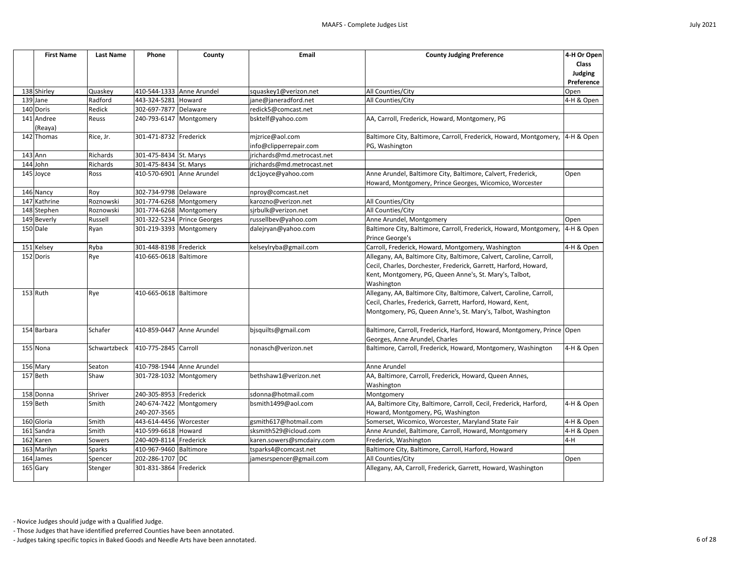

| <b>First Name</b>     | <b>Last Name</b> | Phone                        | County                    | <b>Email</b>               | <b>County Judging Preference</b>                                                                                                                                                                                  | 4-H Or Open<br><b>Class</b><br>Judging<br>Preference |
|-----------------------|------------------|------------------------------|---------------------------|----------------------------|-------------------------------------------------------------------------------------------------------------------------------------------------------------------------------------------------------------------|------------------------------------------------------|
| 138 Shirley           | Quaskey          | 410-544-1333                 | Anne Arundel              | squaskey1@verizon.net      | All Counties/City                                                                                                                                                                                                 | Open                                                 |
| 139 Jane              | Radford          | 443-324-5281                 | Howard                    | jane@janeradford.net       | All Counties/City                                                                                                                                                                                                 | 4-H & Open                                           |
| 140 Doris             | Redick           | 302-697-7877                 | Delaware                  | redick5@comcast.net        |                                                                                                                                                                                                                   |                                                      |
| 141 Andree<br>(Reaya) | Reuss            | 240-793-6147                 | Montgomery                | bsktelf@yahoo.com          | AA, Carroll, Frederick, Howard, Montgomery, PG                                                                                                                                                                    |                                                      |
| 142 Thomas            | Rice, Jr.        | 301-471-8732 Frederick       |                           | mjzrice@aol.com            | Baltimore City, Baltimore, Carroll, Frederick, Howard, Montgomery,                                                                                                                                                | $4-H$ & Open                                         |
|                       |                  |                              |                           | info@clipperrepair.com     | PG, Washington                                                                                                                                                                                                    |                                                      |
| $143$ Ann             | Richards         | 301-475-8434 St. Marys       |                           | jrichards@md.metrocast.net |                                                                                                                                                                                                                   |                                                      |
| 144 John              | Richards         | 301-475-8434 St. Marys       |                           | jrichards@md.metrocast.net |                                                                                                                                                                                                                   |                                                      |
| 145 Joyce             | Ross             |                              | 410-570-6901 Anne Arundel | dc1joyce@yahoo.com         | Anne Arundel, Baltimore City, Baltimore, Calvert, Frederick,<br>Howard, Montgomery, Prince Georges, Wicomico, Worcester                                                                                           | Open                                                 |
| 146 Nancy             | Roy              | 302-734-9798 Delaware        |                           | nproy@comcast.net          |                                                                                                                                                                                                                   |                                                      |
| 147 Kathrine          | Roznowski        | 301-774-6268 Montgomery      |                           | karozno@verizon.net        | All Counties/City                                                                                                                                                                                                 |                                                      |
| 148 Stephen           | Roznowski        | 301-774-6268 Montgomery      |                           | sjrbulk@verizon.net        | All Counties/City                                                                                                                                                                                                 |                                                      |
| 149 Beverly           | Russell          | 301-322-5234                 | <b>Prince Georges</b>     | russellbev@yahoo.com       | Anne Arundel, Montgomery                                                                                                                                                                                          | Open                                                 |
| 150 Dale              | Ryan             | 301-219-3393 Montgomery      |                           | dalejryan@yahoo.com        | Baltimore City, Baltimore, Carroll, Frederick, Howard, Montgomery,<br>Prince George's                                                                                                                             | 4-H & Open                                           |
| 151 Kelsey            | Ryba             | 301-448-8198 Frederick       |                           | kelseylryba@gmail.com      | Carroll, Frederick, Howard, Montgomery, Washington                                                                                                                                                                | 4-H & Open                                           |
| 152 Doris             | Rye              | 410-665-0618 Baltimore       |                           |                            | Allegany, AA, Baltimore City, Baltimore, Calvert, Caroline, Carroll,<br>Cecil, Charles, Dorchester, Frederick, Garrett, Harford, Howard,<br>Kent, Montgomery, PG, Queen Anne's, St. Mary's, Talbot,<br>Washington |                                                      |
| $153$ Ruth            | Rye              | 410-665-0618                 | Baltimore                 |                            | Allegany, AA, Baltimore City, Baltimore, Calvert, Caroline, Carroll,<br>Cecil, Charles, Frederick, Garrett, Harford, Howard, Kent,<br>Montgomery, PG, Queen Anne's, St. Mary's, Talbot, Washington                |                                                      |
| 154 Barbara           | Schafer          | 410-859-0447                 | Anne Arundel              | bjsquilts@gmail.com        | Baltimore, Carroll, Frederick, Harford, Howard, Montgomery, Prince Open<br>Georges, Anne Arundel, Charles                                                                                                         |                                                      |
| 155 Nona              | Schwartzbeck     | 410-775-2845 Carroll         |                           | nonasch@verizon.net        | Baltimore, Carroll, Frederick, Howard, Montgomery, Washington                                                                                                                                                     | 4-H & Open                                           |
| 156 Mary              | Seaton           |                              | 410-798-1944 Anne Arundel |                            | Anne Arundel                                                                                                                                                                                                      |                                                      |
| 157 Beth              | Shaw             | 301-728-1032 Montgomery      |                           | bethshaw1@verizon.net      | AA, Baltimore, Carroll, Frederick, Howard, Queen Annes,<br>Washington                                                                                                                                             |                                                      |
| 158 Donna             | Shriver          | 240-305-8953 Frederick       |                           | sdonna@hotmail.com         | Montgomery                                                                                                                                                                                                        |                                                      |
| 159 Beth              | Smith            | 240-674-7422<br>240-207-3565 | Montgomery                | bsmith1499@aol.com         | AA, Baltimore City, Baltimore, Carroll, Cecil, Frederick, Harford,<br>Howard, Montgomery, PG, Washington                                                                                                          | 4-H & Open                                           |
| 160 Gloria            | Smith            | 443-614-4456 Worcester       |                           | gsmith617@hotmail.com      | Somerset, Wicomico, Worcester, Maryland State Fair                                                                                                                                                                | 4-H & Open                                           |
| 161 Sandra            | Smith            | 410-599-6618 Howard          |                           | sksmith529@icloud.com      | Anne Arundel, Baltimore, Carroll, Howard, Montgomery                                                                                                                                                              | 4-H & Open                                           |
| 162 Karen             | Sowers           | 240-409-8114                 | Frederick                 | karen.sowers@smcdairy.com  | Frederick, Washington                                                                                                                                                                                             | $4-H$                                                |
| 163 Marilyn           | <b>Sparks</b>    | 410-967-9460 Baltimore       |                           | tsparks4@comcast.net       | Baltimore City, Baltimore, Carroll, Harford, Howard                                                                                                                                                               |                                                      |
| 164 James             | Spencer          | 202-286-1707 DC              |                           | jamesrspencer@gmail.com    | All Counties/City                                                                                                                                                                                                 | Open                                                 |
| 165 Gary              | Stenger          | 301-831-3864                 | Frederick                 |                            | Allegany, AA, Carroll, Frederick, Garrett, Howard, Washington                                                                                                                                                     |                                                      |

- Those Judges that have identified preferred Counties have been annotated.

- Judges taking specific topics in Baked Goods and Needle Arts have been annotated. 6 of 28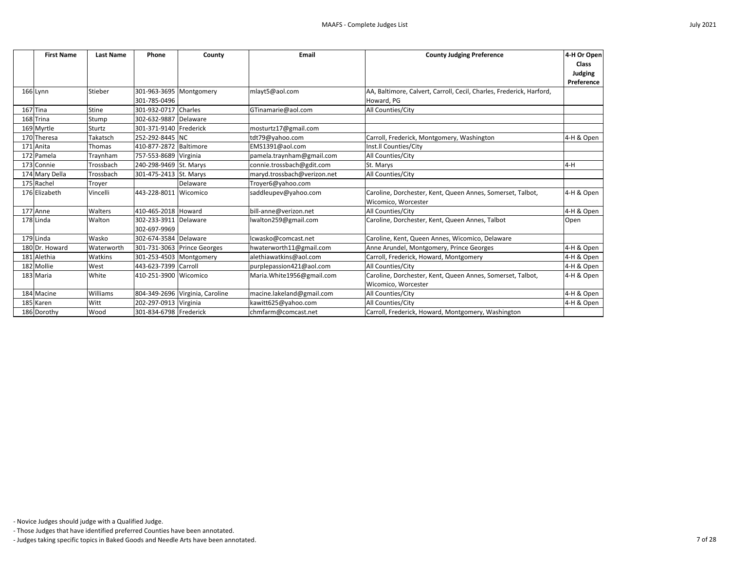| <b>First Name</b> | <b>Last Name</b> | Phone                   | County                          | <b>Email</b>                | <b>County Judging Preference</b>                                     | 4-H Or Open    |
|-------------------|------------------|-------------------------|---------------------------------|-----------------------------|----------------------------------------------------------------------|----------------|
|                   |                  |                         |                                 |                             |                                                                      | <b>Class</b>   |
|                   |                  |                         |                                 |                             |                                                                      | <b>Judging</b> |
|                   |                  |                         |                                 |                             |                                                                      | Preference     |
| 166 Lynn          | Stieber          | 301-963-3695 Montgomery |                                 | mlayt5@aol.com              | AA, Baltimore, Calvert, Carroll, Cecil, Charles, Frederick, Harford, |                |
|                   |                  | 301-785-0496            |                                 |                             | Howard, PG                                                           |                |
| $167$ Tina        | Stine            | 301-932-0717            | Charles                         | GTinamarie@aol.com          | All Counties/City                                                    |                |
| 168 Trina         | Stump            | 302-632-9887            | Delaware                        |                             |                                                                      |                |
| 169 Myrtle        | Sturtz           | 301-371-9140 Frederick  |                                 | mosturtz17@gmail.com        |                                                                      |                |
| 170 Theresa       | Takatsch         | 252-292-8445 NC         |                                 | tdt79@yahoo.com             | Carroll, Frederick, Montgomery, Washington                           | 4-H & Open     |
| 171 Anita         | Thomas           | 410-877-2872 Baltimore  |                                 | EMS1391@aol.com             | Inst.Il Counties/City                                                |                |
| 172 Pamela        | Traynham         | 757-553-8689 Virginia   |                                 | pamela.traynham@gmail.com   | <b>All Counties/City</b>                                             |                |
| 173 Connie        | Trossbach        | 240-298-9469 St. Marys  |                                 | connie.trossbach@gdit.com   | St. Marys                                                            | $4-H$          |
| 174 Mary Della    | Trossbach        | 301-475-2413 St. Marys  |                                 | maryd.trossbach@verizon.net | All Counties/City                                                    |                |
| 175 Rachel        | Troyer           |                         | Delaware                        | Troyer6@yahoo.com           |                                                                      |                |
| 176 Elizabeth     | Vincelli         | 443-228-8011 Wicomico   |                                 | saddleupev@yahoo.com        | Caroline, Dorchester, Kent, Queen Annes, Somerset, Talbot,           | 4-H & Open     |
|                   |                  |                         |                                 |                             | Wicomico, Worcester                                                  |                |
| 177 Anne          | Walters          | 410-465-2018 Howard     |                                 | bill-anne@verizon.net       | All Counties/City                                                    | 4-H & Open     |
| 178 Linda         | Walton           | 302-233-3911 Delaware   |                                 | lwalton259@gmail.com        | Caroline, Dorchester, Kent, Queen Annes, Talbot                      | Open           |
|                   |                  | 302-697-9969            |                                 |                             |                                                                      |                |
| $179$ Linda       | Wasko            | 302-674-3584 Delaware   |                                 | lcwasko@comcast.net         | Caroline, Kent, Queen Annes, Wicomico, Delaware                      |                |
| 180 Dr. Howard    | Waterworth       |                         | 301-731-3063 Prince Georges     | hwaterworth11@gmail.com     | Anne Arundel, Montgomery, Prince Georges                             | 4-H & Open     |
| 181 Alethia       | Watkins          | 301-253-4503 Montgomery |                                 | alethiawatkins@aol.com      | Carroll, Frederick, Howard, Montgomery                               | 4-H & Open     |
| 182 Mollie        | West             | 443-623-7399 Carroll    |                                 | purplepassion421@aol.com    | All Counties/City                                                    | 4-H & Open     |
| 183 Maria         | White            | 410-251-3900 Wicomico   |                                 | Maria. White 1956@gmail.com | Caroline, Dorchester, Kent, Queen Annes, Somerset, Talbot,           | 4-H & Open     |
|                   |                  |                         |                                 |                             | Wicomico, Worcester                                                  |                |
| 184 Macine        | Williams         |                         | 804-349-2696 Virginia, Caroline | macine.lakeland@gmail.com   | All Counties/City                                                    | 4-H & Open     |
| 185 Karen         | Witt             | 202-297-0913 Virginia   |                                 | kawitt625@yahoo.com         | All Counties/City                                                    | 4-H & Open     |
| 186 Dorothy       | Wood             | 301-834-6798 Frederick  |                                 | chmfarm@comcast.net         | Carroll, Frederick, Howard, Montgomery, Washington                   |                |

- Those Judges that have identified preferred Counties have been annotated.

- Judges taking specific topics in Baked Goods and Needle Arts have been annotated. 7 of 28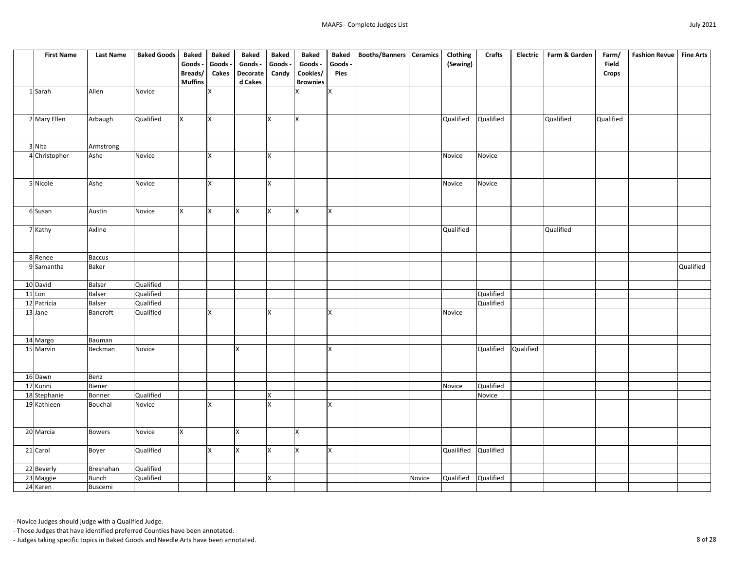| <b>First Name</b>      | <b>Last Name</b>  | <b>Baked Goods</b> | <b>Baked</b>   | <b>Baked</b> | <b>Baked</b>    | <b>Baked</b> | <b>Baked</b>    | <b>Baked</b> | <b>Booths/Banners</b> | <b>Ceramics</b> | Clothing   | <b>Crafts</b> | <b>Electric</b> | Farm & Garden | Farm/        | <b>Fashion Revue</b> | <b>Fine Arts</b> |
|------------------------|-------------------|--------------------|----------------|--------------|-----------------|--------------|-----------------|--------------|-----------------------|-----------------|------------|---------------|-----------------|---------------|--------------|----------------------|------------------|
|                        |                   |                    | Goods -        | Goods -      | Goods -         | Goods -      | Goods -         | Goods -      |                       |                 | (Sewing)   |               |                 |               | <b>Field</b> |                      |                  |
|                        |                   |                    | Breads/        | <b>Cakes</b> | <b>Decorate</b> | Candy        | Cookies/        | <b>Pies</b>  |                       |                 |            |               |                 |               | <b>Crops</b> |                      |                  |
|                        |                   |                    | <b>Muffins</b> |              | d Cakes         |              | <b>Brownies</b> |              |                       |                 |            |               |                 |               |              |                      |                  |
| 1 Sarah                | Allen             | Novice             |                |              |                 |              |                 | $\mathsf{X}$ |                       |                 |            |               |                 |               |              |                      |                  |
|                        |                   |                    |                |              |                 |              |                 |              |                       |                 |            |               |                 |               |              |                      |                  |
|                        |                   |                    |                |              |                 |              |                 |              |                       |                 |            |               |                 |               |              |                      |                  |
| 2 Mary Ellen           | Arbaugh           | Qualified          | X              | X            |                 | X            | X               |              |                       |                 | Qualified  | Qualified     |                 | Qualified     | Qualified    |                      |                  |
|                        |                   |                    |                |              |                 |              |                 |              |                       |                 |            |               |                 |               |              |                      |                  |
|                        |                   |                    |                |              |                 |              |                 |              |                       |                 |            |               |                 |               |              |                      |                  |
| 3 Nita                 | Armstrong<br>Ashe | Novice             |                | X            |                 | X            |                 |              |                       |                 | Novice     | Novice        |                 |               |              |                      |                  |
| 4 Christopher          |                   |                    |                |              |                 |              |                 |              |                       |                 |            |               |                 |               |              |                      |                  |
|                        |                   |                    |                |              |                 |              |                 |              |                       |                 |            |               |                 |               |              |                      |                  |
| 5 Nicole               | Ashe              | <b>Novice</b>      |                | X            |                 | X            |                 |              |                       |                 | Novice     | Novice        |                 |               |              |                      |                  |
|                        |                   |                    |                |              |                 |              |                 |              |                       |                 |            |               |                 |               |              |                      |                  |
|                        |                   |                    |                |              |                 |              |                 |              |                       |                 |            |               |                 |               |              |                      |                  |
| 6 Susan                | Austin            | Novice             | $\mathsf{X}$   | lx.          | <b>X</b>        | X            | X               | lx.          |                       |                 |            |               |                 |               |              |                      |                  |
|                        |                   |                    |                |              |                 |              |                 |              |                       |                 |            |               |                 |               |              |                      |                  |
| 7 Kathy                | Axline            |                    |                |              |                 |              |                 |              |                       |                 | Qualified  |               |                 | Qualified     |              |                      |                  |
|                        |                   |                    |                |              |                 |              |                 |              |                       |                 |            |               |                 |               |              |                      |                  |
|                        |                   |                    |                |              |                 |              |                 |              |                       |                 |            |               |                 |               |              |                      |                  |
| 8 Renee                | <b>Baccus</b>     |                    |                |              |                 |              |                 |              |                       |                 |            |               |                 |               |              |                      |                  |
| 9 Samantha             | <b>Baker</b>      |                    |                |              |                 |              |                 |              |                       |                 |            |               |                 |               |              |                      | Qualified        |
|                        |                   |                    |                |              |                 |              |                 |              |                       |                 |            |               |                 |               |              |                      |                  |
| 10 David               | <b>Balser</b>     | Qualified          |                |              |                 |              |                 |              |                       |                 |            |               |                 |               |              |                      |                  |
| 11 Lori                | <b>Balser</b>     | Qualified          |                |              |                 |              |                 |              |                       |                 |            | Qualified     |                 |               |              |                      |                  |
| 12 Patricia            | <b>Balser</b>     | Qualified          |                |              |                 |              |                 |              |                       |                 |            | Qualified     |                 |               |              |                      |                  |
| 13 Jane                | <b>Bancroft</b>   | Qualified          |                | $\mathbf v$  |                 | X            |                 | x            |                       |                 | Novice     |               |                 |               |              |                      |                  |
|                        |                   |                    |                |              |                 |              |                 |              |                       |                 |            |               |                 |               |              |                      |                  |
| 14 Margo               |                   |                    |                |              |                 |              |                 |              |                       |                 |            |               |                 |               |              |                      |                  |
| 15 Marvin              | Bauman<br>Beckman | Novice             |                |              | <b>X</b>        |              |                 | $\mathsf{X}$ |                       |                 |            | Qualified     | Qualified       |               |              |                      |                  |
|                        |                   |                    |                |              |                 |              |                 |              |                       |                 |            |               |                 |               |              |                      |                  |
|                        |                   |                    |                |              |                 |              |                 |              |                       |                 |            |               |                 |               |              |                      |                  |
| 16 Dawn                | Benz              |                    |                |              |                 |              |                 |              |                       |                 |            |               |                 |               |              |                      |                  |
| $\overline{17}$ Kunni  | Biener            |                    |                |              |                 |              |                 |              |                       |                 | Novice     | Qualified     |                 |               |              |                      |                  |
| 18 Stephanie           | Bonner            | Qualified          |                |              |                 | X            |                 |              |                       |                 |            | Novice        |                 |               |              |                      |                  |
| 19 Kathleen            | Bouchal           | Novice             |                | <b>X</b>     |                 | $\mathsf{x}$ |                 | X            |                       |                 |            |               |                 |               |              |                      |                  |
|                        |                   |                    |                |              |                 |              |                 |              |                       |                 |            |               |                 |               |              |                      |                  |
|                        |                   |                    |                |              |                 |              |                 |              |                       |                 |            |               |                 |               |              |                      |                  |
| 20 Marcia              | <b>Bowers</b>     | Novice             | $\mathsf{X}$   |              | X               |              | Ιx              |              |                       |                 |            |               |                 |               |              |                      |                  |
|                        |                   |                    |                |              |                 |              |                 |              |                       |                 |            |               |                 |               |              |                      |                  |
| 21 Carol               | Boyer             | Qualified          |                | X            | X               | X            | <b>X</b>        | $\mathsf{X}$ |                       |                 | Quailified | Qualified     |                 |               |              |                      |                  |
|                        |                   |                    |                |              |                 |              |                 |              |                       |                 |            |               |                 |               |              |                      |                  |
| 22 Beverly             | Bresnahan         | Qualified          |                |              |                 |              |                 |              |                       |                 |            |               |                 |               |              |                      |                  |
| $\overline{23}$ Maggie | <b>Bunch</b>      | Qualified          |                |              |                 | X            |                 |              |                       | Novice          | Qualified  | Qualified     |                 |               |              |                      |                  |
| 24 Karen               | Buscemi           |                    |                |              |                 |              |                 |              |                       |                 |            |               |                 |               |              |                      |                  |

- Those Judges that have identified preferred Counties have been annotated.

- Judges taking specific topics in Baked Goods and Needle Arts have been annotated. 8 of 28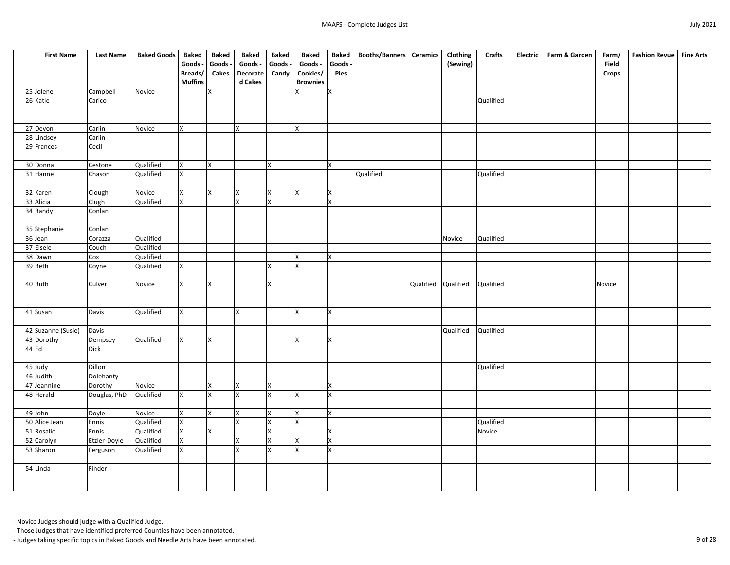| <b>First Name</b>  | <b>Last Name</b> | <b>Baked Goods</b> | <b>Baked</b>    | <b>Baked</b> | <b>Baked</b>    | <b>Baked</b>              | <b>Baked</b>            | <b>Baked</b> | <b>Booths/Banners   Ceramics</b> |           | Clothing  | <b>Crafts</b> | <b>Electric</b> | Farm & Garden | Farm/        | Fashion Revue   Fine Arts |  |
|--------------------|------------------|--------------------|-----------------|--------------|-----------------|---------------------------|-------------------------|--------------|----------------------------------|-----------|-----------|---------------|-----------------|---------------|--------------|---------------------------|--|
|                    |                  |                    | Goods -         | Goods ·      | Goods -         | Goods -                   | Goods -                 | Goods -      |                                  |           | (Sewing)  |               |                 |               | <b>Field</b> |                           |  |
|                    |                  |                    | Breads/         | <b>Cakes</b> | <b>Decorate</b> | Candy                     | Cookies/                | <b>Pies</b>  |                                  |           |           |               |                 |               | <b>Crops</b> |                           |  |
|                    |                  |                    | <b>Muffins</b>  |              | d Cakes         |                           | <b>Brownies</b>         |              |                                  |           |           |               |                 |               |              |                           |  |
| 25 Jolene          | Campbell         | Novice             |                 | X            |                 |                           | ΙX                      | X            |                                  |           |           |               |                 |               |              |                           |  |
| 26 Katie           | Carico           |                    |                 |              |                 |                           |                         |              |                                  |           |           | Qualified     |                 |               |              |                           |  |
|                    |                  |                    |                 |              |                 |                           |                         |              |                                  |           |           |               |                 |               |              |                           |  |
| 27 Devon           | Carlin           | Novice             | $\mathsf{X}$    |              | X.              |                           | <b>X</b>                |              |                                  |           |           |               |                 |               |              |                           |  |
| 28 Lindsey         | Carlin           |                    |                 |              |                 |                           |                         |              |                                  |           |           |               |                 |               |              |                           |  |
| 29 Frances         | Cecil            |                    |                 |              |                 |                           |                         |              |                                  |           |           |               |                 |               |              |                           |  |
| 30 Donna           | Cestone          | Qualified          | X               | lx.          |                 | Ιx                        |                         | X            |                                  |           |           |               |                 |               |              |                           |  |
| 31 Hanne           | Chason           | Qualified          | $\mathsf{X}$    |              |                 |                           |                         |              | Qualified                        |           |           | Qualified     |                 |               |              |                           |  |
|                    |                  |                    |                 |              |                 |                           |                         |              |                                  |           |           |               |                 |               |              |                           |  |
| 32 Karen           | Clough           | Novice             | $\mathsf{X}$    | lx.          | X               | X                         | <b>X</b>                | X            |                                  |           |           |               |                 |               |              |                           |  |
| 33 Alicia          | Clugh            | Qualified          | $\mathsf{X}$    |              | X               | X                         |                         | X            |                                  |           |           |               |                 |               |              |                           |  |
| 34 Randy           | Conlan           |                    |                 |              |                 |                           |                         |              |                                  |           |           |               |                 |               |              |                           |  |
| 35 Stephanie       | Conlan           |                    |                 |              |                 |                           |                         |              |                                  |           |           |               |                 |               |              |                           |  |
| 36 Jean            | Corazza          | Qualified          |                 |              |                 |                           |                         |              |                                  |           | Novice    | Qualified     |                 |               |              |                           |  |
| 37 Eisele          | Couch            | Qualified          |                 |              |                 |                           |                         |              |                                  |           |           |               |                 |               |              |                           |  |
| 38 Dawn            | Cox              | Qualified          |                 |              |                 |                           | $\overline{\mathsf{x}}$ | X            |                                  |           |           |               |                 |               |              |                           |  |
| 39 Beth            | Coyne            | Qualified          | X               |              |                 | χ                         | Ιx                      |              |                                  |           |           |               |                 |               |              |                           |  |
| 40 Ruth            | Culver           | Novice             | $\mathsf{X}$    | Ιx           |                 | X                         |                         |              |                                  | Qualified | Qualified | Qualified     |                 |               | Novice       |                           |  |
|                    |                  |                    |                 |              |                 |                           |                         |              |                                  |           |           |               |                 |               |              |                           |  |
|                    |                  |                    |                 |              |                 |                           |                         |              |                                  |           |           |               |                 |               |              |                           |  |
| 41 Susan           | Davis            | Qualified          | <b>X</b>        |              | X               |                           | ΙX                      | $\mathsf{X}$ |                                  |           |           |               |                 |               |              |                           |  |
| 42 Suzanne (Susie) | Davis            |                    |                 |              |                 |                           |                         |              |                                  |           | Qualified | Qualified     |                 |               |              |                           |  |
| 43 Dorothy         | Dempsey          | Qualified          | $\vert x \vert$ | <b>X</b>     |                 |                           | IX.                     | <b>X</b>     |                                  |           |           |               |                 |               |              |                           |  |
| $44$ Ed            | <b>Dick</b>      |                    |                 |              |                 |                           |                         |              |                                  |           |           |               |                 |               |              |                           |  |
| 45 Judy            | Dillon           |                    |                 |              |                 |                           |                         |              |                                  |           |           | Qualified     |                 |               |              |                           |  |
| 46 Judith          | Dolehanty        |                    |                 |              |                 |                           |                         |              |                                  |           |           |               |                 |               |              |                           |  |
| 47 Jeannine        | Dorothy          | Novice             |                 | $\mathsf{X}$ | X.              | X                         |                         | X            |                                  |           |           |               |                 |               |              |                           |  |
| 48 Herald          | Douglas, PhD     | Qualified          | X               | X            | X               | $\boldsymbol{\mathsf{x}}$ | ΙX                      | X            |                                  |           |           |               |                 |               |              |                           |  |
| 49 John            | Doyle            | Novice             | $\mathsf{X}$    | lx.          | $\mathsf{X}$    | X                         | <b>X</b>                | $\mathsf{X}$ |                                  |           |           |               |                 |               |              |                           |  |
| 50 Alice Jean      | Ennis            | Qualified          | $\mathsf{X}$    |              | $\mathsf{X}^-$  | $\mathsf{X}$              | <b>X</b>                |              |                                  |           |           | Qualified     |                 |               |              |                           |  |
| 51 Rosalie         | Ennis            | Qualified          | $\mathsf{X}$    | X.           |                 | X                         |                         | X            |                                  |           |           | Novice        |                 |               |              |                           |  |
| 52 Carolyn         | Etzler-Doyle     | Qualified          | $\mathsf{X}$    |              | $\mathsf{X}$    | X                         | <b>X</b>                | $\mathsf{X}$ |                                  |           |           |               |                 |               |              |                           |  |
| 53 Sharon          | Ferguson         | Qualified          | $\mathsf{X}$    |              | X.              | <b>X</b>                  | <b>x</b>                | X            |                                  |           |           |               |                 |               |              |                           |  |
| 54 Linda           | Finder           |                    |                 |              |                 |                           |                         |              |                                  |           |           |               |                 |               |              |                           |  |
|                    |                  |                    |                 |              |                 |                           |                         |              |                                  |           |           |               |                 |               |              |                           |  |

- Those Judges that have identified preferred Counties have been annotated.

- Judges taking specific topics in Baked Goods and Needle Arts have been annotated. 9 of 28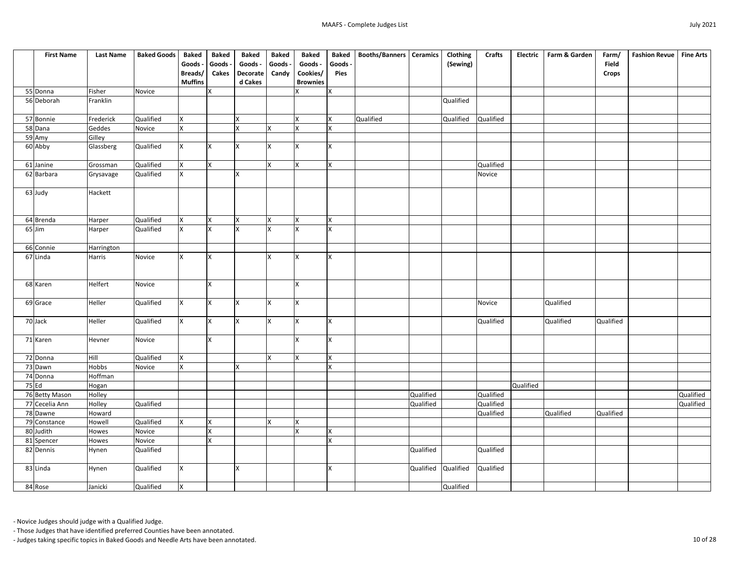| <b>First Name</b> | <b>Last Name</b> | <b>Baked Goods</b> | <b>Baked</b>   | <b>Baked</b>   | <b>Baked</b>    | <b>Baked</b>              | <b>Baked</b>    | <b>Baked</b> | <b>Booths/Banners   Ceramics</b> |           | Clothing  | <b>Crafts</b> | <b>Electric</b> | Farm & Garden | Farm/        | <b>Fashion Revue</b> | Fine Arts |
|-------------------|------------------|--------------------|----------------|----------------|-----------------|---------------------------|-----------------|--------------|----------------------------------|-----------|-----------|---------------|-----------------|---------------|--------------|----------------------|-----------|
|                   |                  |                    | Goods -        | Goods -        | Goods -         | Goods -                   | Goods -         | Goods -      |                                  |           | (Sewing)  |               |                 |               | <b>Field</b> |                      |           |
|                   |                  |                    | Breads/        | <b>Cakes</b>   | <b>Decorate</b> | Candy                     | Cookies/        | <b>Pies</b>  |                                  |           |           |               |                 |               | <b>Crops</b> |                      |           |
|                   |                  |                    | <b>Muffins</b> |                | d Cakes         |                           | <b>Brownies</b> |              |                                  |           |           |               |                 |               |              |                      |           |
| 55 Donna          | Fisher           | Novice             |                | $\mathsf{X}$   |                 |                           | IX.             | <b>X</b>     |                                  |           |           |               |                 |               |              |                      |           |
| 56 Deborah        | Franklin         |                    |                |                |                 |                           |                 |              |                                  |           | Qualified |               |                 |               |              |                      |           |
| 57 Bonnie         | Frederick        | Qualified          | X              |                |                 |                           | Ix.             | Χ            | Qualified                        |           | Qualified | Qualified     |                 |               |              |                      |           |
| 58 Dana           | Geddes           | Novice             | X.             |                | v               | $\boldsymbol{\mathsf{x}}$ | <b>X</b>        | <b>X</b>     |                                  |           |           |               |                 |               |              |                      |           |
| 59 Amy            | Gilley           |                    |                |                |                 |                           |                 |              |                                  |           |           |               |                 |               |              |                      |           |
| 60 Abby           | Glassberg        | Qualified          | <b>X</b>       | X.             | X               |                           | Ιx              | X            |                                  |           |           |               |                 |               |              |                      |           |
|                   |                  |                    |                |                |                 |                           |                 |              |                                  |           |           |               |                 |               |              |                      |           |
| 61 Janine         | Grossman         | Qualified          | $\mathsf{X}$   | lx.            |                 | ΙX                        | <b>X</b>        | X            |                                  |           |           | Qualified     |                 |               |              |                      |           |
| 62 Barbara        | Grysavage        | Qualified          | X.             |                | x               |                           |                 |              |                                  |           |           | Novice        |                 |               |              |                      |           |
|                   |                  |                    |                |                |                 |                           |                 |              |                                  |           |           |               |                 |               |              |                      |           |
| 63 Judy           | Hackett          |                    |                |                |                 |                           |                 |              |                                  |           |           |               |                 |               |              |                      |           |
|                   |                  |                    |                |                |                 |                           |                 |              |                                  |           |           |               |                 |               |              |                      |           |
|                   |                  |                    |                |                |                 |                           |                 |              |                                  |           |           |               |                 |               |              |                      |           |
| 64 Brenda         | Harper           | Qualified          | X              | Ix.            | X               | ΙX                        | x               | X            |                                  |           |           |               |                 |               |              |                      |           |
| $65$ Jim          | Harper           | Qualified          | X.             | lx.            | <b>X</b>        | <b>Y</b>                  | Ιx              | X            |                                  |           |           |               |                 |               |              |                      |           |
| 66 Connie         | Harrington       |                    |                |                |                 |                           |                 |              |                                  |           |           |               |                 |               |              |                      |           |
| 67 Linda          | Harris           | Novice             | X.             | Ix.            |                 | ΙX                        | IX.             | X            |                                  |           |           |               |                 |               |              |                      |           |
|                   |                  |                    |                |                |                 |                           |                 |              |                                  |           |           |               |                 |               |              |                      |           |
|                   |                  |                    |                |                |                 |                           |                 |              |                                  |           |           |               |                 |               |              |                      |           |
| 68 Karen          | Helfert          | Novice             |                | lχ             |                 |                           | Ιx              |              |                                  |           |           |               |                 |               |              |                      |           |
|                   |                  |                    |                |                |                 |                           |                 |              |                                  |           |           |               |                 |               |              |                      |           |
| 69 Grace          | Heller           | Qualified          | $\mathsf{X}$   | <b>X</b>       | X               | İΧ                        | Ix.             |              |                                  |           |           | Novice        |                 | Qualified     |              |                      |           |
|                   |                  |                    |                |                |                 |                           |                 |              |                                  |           |           |               |                 |               |              |                      |           |
| 70 Jack           | Heller           | Qualified          | X              | Ix.            | X               | Ιx                        | Ιx              | X            |                                  |           |           | Qualified     |                 | Qualified     | Qualified    |                      |           |
|                   |                  |                    |                |                |                 |                           |                 |              |                                  |           |           |               |                 |               |              |                      |           |
| 71 Karen          | Hevner           | Novice             |                | $\overline{X}$ |                 |                           | <b>X</b>        | $\mathsf{x}$ |                                  |           |           |               |                 |               |              |                      |           |
|                   |                  |                    |                |                |                 |                           |                 |              |                                  |           |           |               |                 |               |              |                      |           |
| 72 Donna          | Hill             | Qualified          | $\mathsf{X}$   |                |                 | Ιx                        | X.              | $\mathsf{X}$ |                                  |           |           |               |                 |               |              |                      |           |
| 73 Dawn           | Hobbs            | Novice             | Χ              |                | $\mathsf{x}$    |                           |                 | X            |                                  |           |           |               |                 |               |              |                      |           |
| 74 Donna          | Hoffman          |                    |                |                |                 |                           |                 |              |                                  |           |           |               |                 |               |              |                      |           |
| $75$ Ed           | Hogan            |                    |                |                |                 |                           |                 |              |                                  |           |           |               | Qualified       |               |              |                      |           |
| 76 Betty Mason    | Holley           |                    |                |                |                 |                           |                 |              |                                  | Qualified |           | Qualified     |                 |               |              |                      | Qualified |
| 77 Cecelia Ann    | Holley           | Qualified          |                |                |                 |                           |                 |              |                                  | Qualified |           | Qualified     |                 |               |              |                      | Qualified |
| 78 Dawne          | Howard           |                    |                |                |                 |                           |                 |              |                                  |           |           | Qualified     |                 | Qualified     | Qualified    |                      |           |
| 79 Constance      | Howell           | Qualified          | lx.            | Ix.            |                 | lx.                       | <b>X</b>        |              |                                  |           |           |               |                 |               |              |                      |           |
| 80 Judith         | Howes            | Novice             |                | $\mathsf{X}$   |                 |                           | lx.             | lx.          |                                  |           |           |               |                 |               |              |                      |           |
| 81 Spencer        | Howes            | Novice             |                | Ix.            |                 |                           |                 | $\mathsf{X}$ |                                  |           |           |               |                 |               |              |                      |           |
| 82 Dennis         | Hynen            | Qualified          |                |                |                 |                           |                 |              |                                  | Qualified |           | Qualified     |                 |               |              |                      |           |
|                   |                  |                    |                |                |                 |                           |                 |              |                                  |           |           |               |                 |               |              |                      |           |
| 83 Linda          | Hynen            | Qualified          | X.             |                | X               |                           |                 | X            |                                  | Qualified | Qualified | Qualified     |                 |               |              |                      |           |
|                   |                  |                    |                |                |                 |                           |                 |              |                                  |           |           |               |                 |               |              |                      |           |
| 84 Rose           | Janicki          | Qualified          | $\mathsf{X}$   |                |                 |                           |                 |              |                                  |           | Qualified |               |                 |               |              |                      |           |

- Those Judges that have identified preferred Counties have been annotated.

- Judges taking specific topics in Baked Goods and Needle Arts have been annotated. 10 of 28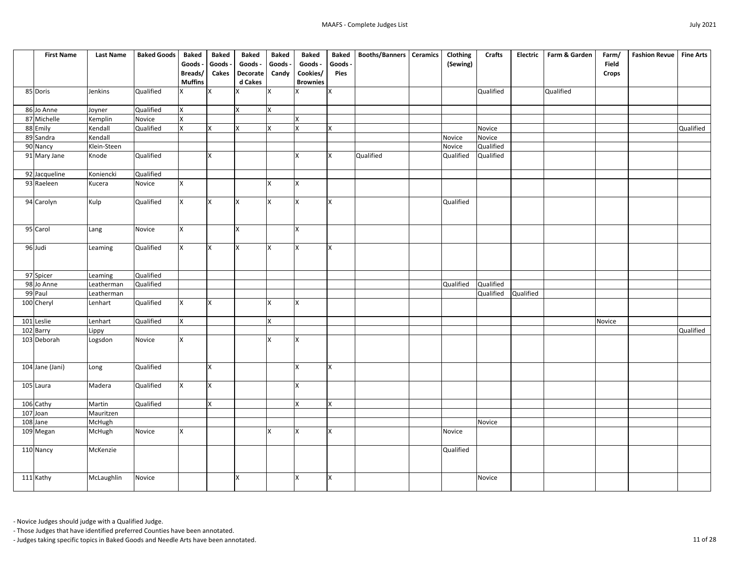| <b>First Name</b>           | <b>Last Name</b> | <b>Baked Goods</b> | <b>Baked</b>   | <b>Baked</b> | <b>Baked</b>    | <b>Baked</b>   | <b>Baked</b>    | <b>Baked</b> | <b>Booths/Banners   Ceramics</b> | Clothing  | <b>Crafts</b> | <b>Electric</b> | Farm & Garden | Farm/        | Fashion Revue   Fine Arts |           |
|-----------------------------|------------------|--------------------|----------------|--------------|-----------------|----------------|-----------------|--------------|----------------------------------|-----------|---------------|-----------------|---------------|--------------|---------------------------|-----------|
|                             |                  |                    | Goods -        | Goods -      | Goods -         | Goods -        | Goods -         | Goods -      |                                  | (Sewing)  |               |                 |               | <b>Field</b> |                           |           |
|                             |                  |                    | Breads/        | <b>Cakes</b> | <b>Decorate</b> | Candy          | Cookies/        | <b>Pies</b>  |                                  |           |               |                 |               | <b>Crops</b> |                           |           |
|                             |                  |                    | <b>Muffins</b> |              | d Cakes         |                | <b>Brownies</b> |              |                                  |           |               |                 |               |              |                           |           |
| 85 Doris                    | Jenkins          | Qualified          | $\mathsf{X}^-$ | X            |                 | X              |                 | $\mathsf{X}$ |                                  |           | Qualified     |                 | Qualified     |              |                           |           |
| 86 Jo Anne                  | Joyner           | Qualified          | <b>X</b>       |              | $\mathsf{X}$    | X              |                 |              |                                  |           |               |                 |               |              |                           |           |
| 87 Michelle                 | Kemplin          | Novice             | X              |              |                 |                | X               |              |                                  |           |               |                 |               |              |                           |           |
| 88 Emily                    | Kendall          | Qualified          | $\mathsf{X}$   | X.           | X               | <b>X</b>       | IX.             | X.           |                                  |           | Novice        |                 |               |              |                           | Qualified |
| 89 Sandra                   | Kendall          |                    |                |              |                 |                |                 |              |                                  | Novice    | Novice        |                 |               |              |                           |           |
| 90 Nancy                    | Klein-Steen      |                    |                |              |                 |                |                 |              |                                  | Novice    | Qualified     |                 |               |              |                           |           |
| 91 Mary Jane                | Knode            | Qualified          |                | X            |                 |                | X               | X            | Qualified                        | Qualified | Qualified     |                 |               |              |                           |           |
| $\overline{9}$ 2 Jacqueline | Koniencki        | Qualified          |                |              |                 |                |                 |              |                                  |           |               |                 |               |              |                           |           |
| 93 Raeleen                  | Kucera           | Novice             | <b>X</b>       |              |                 | X              | Ιx              |              |                                  |           |               |                 |               |              |                           |           |
| 94 Carolyn                  | Kulp             | Qualified          | <b>X</b>       | X            | <b>X</b>        | <b>X</b>       | <b>X</b>        | Ix.          |                                  | Qualified |               |                 |               |              |                           |           |
| 95 Carol                    | Lang             | Novice             | <b>X</b>       |              | ΙX              |                | X               |              |                                  |           |               |                 |               |              |                           |           |
| 96 Judi                     | Leaming          | Qualified          | $\mathsf{X}^-$ | X            | ΙX              | ΙX             | lx.             | lx.          |                                  |           |               |                 |               |              |                           |           |
| 97 Spicer                   | Leaming          | <b>Qualified</b>   |                |              |                 |                |                 |              |                                  |           |               |                 |               |              |                           |           |
| 98 Jo Anne                  | Leatherman       | Qualified          |                |              |                 |                |                 |              |                                  | Qualified | Qualified     |                 |               |              |                           |           |
| 99 Paul                     | Leatherman       |                    |                |              |                 |                |                 |              |                                  |           | Qualified     | Qualified       |               |              |                           |           |
| 100 Cheryl                  | Lenhart          | Qualified          | <b>X</b>       | IX.          |                 | X              | IX.             |              |                                  |           |               |                 |               |              |                           |           |
| 101 Leslie                  | Lenhart          | Qualified          | X.             |              |                 | X              |                 |              |                                  |           |               |                 |               | Novice       |                           |           |
|                             | <b>Lippy</b>     |                    |                |              |                 |                |                 |              |                                  |           |               |                 |               |              |                           | Qualified |
| 102 Barry<br>103 Deborah    | Logsdon          | Novice             | $\overline{X}$ |              |                 | $\mathsf{X}^-$ | $\vert x \vert$ |              |                                  |           |               |                 |               |              |                           |           |
| 104 Jane (Jani)             | Long             | Qualified          |                | X            |                 |                | X               | X            |                                  |           |               |                 |               |              |                           |           |
| 105 Laura                   | Madera           | Qualified          | $\mathsf{X}$   | Ix.          |                 |                | $\mathsf{X}$    |              |                                  |           |               |                 |               |              |                           |           |
| 106 Cathy                   | Martin           | Qualified          |                | $\mathsf{X}$ |                 |                | <b>X</b>        | <b>X</b>     |                                  |           |               |                 |               |              |                           |           |
| 107 Joan                    | Mauritzen        |                    |                |              |                 |                |                 |              |                                  |           |               |                 |               |              |                           |           |
| 108 Jane                    | McHugh           |                    |                |              |                 |                |                 |              |                                  |           | Novice        |                 |               |              |                           |           |
| 109 Megan                   | McHugh           | Novice             | <b>X</b>       |              |                 | X              | Ix.             | IX.          |                                  | Novice    |               |                 |               |              |                           |           |
| 110 Nancy                   | McKenzie         |                    |                |              |                 |                |                 |              |                                  | Qualified |               |                 |               |              |                           |           |
| 111 Kathy                   | McLaughlin       | Novice             |                |              | ΙX              |                | IX.             | X.           |                                  |           | Novice        |                 |               |              |                           |           |

- Those Judges that have identified preferred Counties have been annotated.

- Judges taking specific topics in Baked Goods and Needle Arts have been annotated. 11 of 28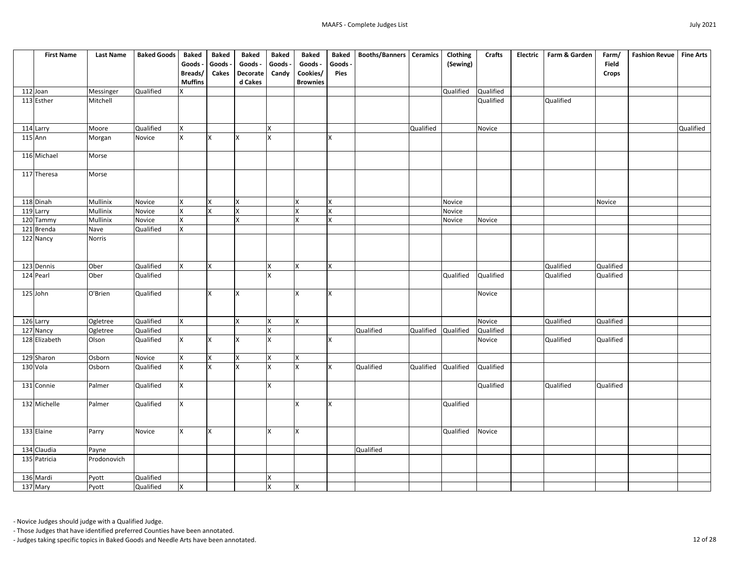| <b>First Name</b>          | <b>Last Name</b> | <b>Baked Goods</b> | <b>Baked</b>    | <b>Baked</b> | <b>Baked</b>    | <b>Baked</b> | <b>Baked</b>    | <b>Baked</b> | <b>Booths/Banners   Ceramics</b> |                     | Clothing  | <b>Crafts</b> | <b>Electric</b> | Farm & Garden | Farm/        | <b>Fashion Revue</b> | Fine Arts |
|----------------------------|------------------|--------------------|-----------------|--------------|-----------------|--------------|-----------------|--------------|----------------------------------|---------------------|-----------|---------------|-----------------|---------------|--------------|----------------------|-----------|
|                            |                  |                    | Goods -         | Goods -      | Goods -         | Goods -      | Goods -         | Goods -      |                                  |                     | (Sewing)  |               |                 |               | <b>Field</b> |                      |           |
|                            |                  |                    | Breads/         | <b>Cakes</b> | <b>Decorate</b> | Candy        | Cookies/        | <b>Pies</b>  |                                  |                     |           |               |                 |               | <b>Crops</b> |                      |           |
|                            |                  |                    | <b>Muffins</b>  |              | d Cakes         |              | <b>Brownies</b> |              |                                  |                     |           |               |                 |               |              |                      |           |
| 112 Joan                   | Messinger        | Qualified          | X               |              |                 |              |                 |              |                                  |                     | Qualified | Qualified     |                 |               |              |                      |           |
| 113 Esther                 | Mitchell         |                    |                 |              |                 |              |                 |              |                                  |                     |           | Qualified     |                 | Qualified     |              |                      |           |
|                            |                  |                    |                 |              |                 |              |                 |              |                                  |                     |           |               |                 |               |              |                      |           |
|                            |                  |                    |                 |              |                 |              |                 |              |                                  |                     |           |               |                 |               |              |                      |           |
| 114 Larry                  | Moore            | Qualified          | <b>X</b>        |              |                 | $\mathsf{x}$ |                 |              |                                  | Qualified           |           | Novice        |                 |               |              |                      | Qualified |
| $115$ Ann                  | Morgan           | Novice             | $\mathsf{X}$    | X            | ΙX              | X            |                 | X.           |                                  |                     |           |               |                 |               |              |                      |           |
|                            |                  |                    |                 |              |                 |              |                 |              |                                  |                     |           |               |                 |               |              |                      |           |
| 116 Michael                | Morse            |                    |                 |              |                 |              |                 |              |                                  |                     |           |               |                 |               |              |                      |           |
|                            |                  |                    |                 |              |                 |              |                 |              |                                  |                     |           |               |                 |               |              |                      |           |
| 117 Theresa                | Morse            |                    |                 |              |                 |              |                 |              |                                  |                     |           |               |                 |               |              |                      |           |
|                            |                  |                    |                 |              |                 |              |                 |              |                                  |                     |           |               |                 |               |              |                      |           |
|                            |                  |                    |                 |              |                 |              |                 |              |                                  |                     |           |               |                 |               |              |                      |           |
| 118 Dinah                  | Mullinix         | Novice             | $\mathsf{X}^-$  | X            | <b>X</b>        |              | <b>X</b>        | X            |                                  |                     | Novice    |               |                 |               | Novice       |                      |           |
| 119 Larry                  | Mullinix         | Novice             | $\mathsf{X}$    | x            | X               |              | X               | X            |                                  |                     | Novice    |               |                 |               |              |                      |           |
| 120 Tammy                  | Mullinix         | Novice             | X               |              | X               |              | X               | X            |                                  |                     | Novice    | Novice        |                 |               |              |                      |           |
| 121 Brenda                 | Nave             | Qualified          | $\mathsf{X}^-$  |              |                 |              |                 |              |                                  |                     |           |               |                 |               |              |                      |           |
| 122 Nancy                  | <b>Norris</b>    |                    |                 |              |                 |              |                 |              |                                  |                     |           |               |                 |               |              |                      |           |
|                            |                  |                    |                 |              |                 |              |                 |              |                                  |                     |           |               |                 |               |              |                      |           |
|                            |                  |                    |                 |              |                 |              |                 |              |                                  |                     |           |               |                 |               |              |                      |           |
| 123 Dennis                 | Ober             | Qualified          | <b>X</b>        | X            |                 | X            | IX.             | X            |                                  |                     |           |               |                 | Qualified     | Qualified    |                      |           |
| 124 Pearl                  | Ober             | Qualified          |                 |              |                 | X            |                 |              |                                  |                     | Qualified | Qualified     |                 | Qualified     | Qualified    |                      |           |
| 125 John                   | O'Brien          | Qualified          |                 | X            | Ιx              |              | ΙX              | X            |                                  |                     |           | Novice        |                 |               |              |                      |           |
|                            |                  |                    |                 |              |                 |              |                 |              |                                  |                     |           |               |                 |               |              |                      |           |
|                            |                  |                    |                 |              |                 |              |                 |              |                                  |                     |           |               |                 |               |              |                      |           |
| 126 Larry                  | Ogletree         | Qualified          | X               |              | <b>X</b>        | X            | <b>X</b>        |              |                                  |                     |           | Novice        |                 | Qualified     | Qualified    |                      |           |
|                            | Ogletree         | Qualified          |                 |              |                 | X            |                 |              | Qualified                        | Qualified Qualified |           | Qualified     |                 |               |              |                      |           |
| 127 Nancy<br>128 Elizabeth | Olson            | Qualified          | $\vert x \vert$ | <b>X</b>     | X               | X            |                 | <b>X</b>     |                                  |                     |           | Novice        |                 | Qualified     | Qualified    |                      |           |
|                            |                  |                    |                 |              |                 |              |                 |              |                                  |                     |           |               |                 |               |              |                      |           |
| 129 Sharon                 | Osborn           | Novice             | $\mathsf{X}$    | X            | X               | X            | X.              |              |                                  |                     |           |               |                 |               |              |                      |           |
| 130 Vola                   | Osborn           | Qualified          | <b>X</b>        | x            | <b>x</b>        |              | X               | X.           | Qualified                        | Qualified Qualified |           | Qualified     |                 |               |              |                      |           |
|                            |                  |                    |                 |              |                 |              |                 |              |                                  |                     |           |               |                 |               |              |                      |           |
| 131 Connie                 | Palmer           | Qualified          | <b>X</b>        |              |                 | X.           |                 |              |                                  |                     |           | Qualified     |                 | Qualified     | Qualified    |                      |           |
|                            |                  |                    |                 |              |                 |              |                 |              |                                  |                     |           |               |                 |               |              |                      |           |
| 132 Michelle               | Palmer           | Qualified          | <b>X</b>        |              |                 |              | Ix.             | IX.          |                                  |                     | Qualified |               |                 |               |              |                      |           |
|                            |                  |                    |                 |              |                 |              |                 |              |                                  |                     |           |               |                 |               |              |                      |           |
|                            |                  |                    |                 |              |                 |              |                 |              |                                  |                     |           |               |                 |               |              |                      |           |
| 133 Elaine                 | Parry            | Novice             | $\mathsf{X}^-$  | Ix.          |                 | X.           | lx.             |              |                                  |                     | Qualified | Novice        |                 |               |              |                      |           |
|                            |                  |                    |                 |              |                 |              |                 |              |                                  |                     |           |               |                 |               |              |                      |           |
| 134 Claudia                | Payne            |                    |                 |              |                 |              |                 |              | Qualified                        |                     |           |               |                 |               |              |                      |           |
| 135 Patricia               | Prodonovich      |                    |                 |              |                 |              |                 |              |                                  |                     |           |               |                 |               |              |                      |           |
|                            |                  |                    |                 |              |                 |              |                 |              |                                  |                     |           |               |                 |               |              |                      |           |
| 136 Mardi                  | Pyott            | Qualified          |                 |              |                 | X            |                 |              |                                  |                     |           |               |                 |               |              |                      |           |
| 137 Mary                   | Pyott            | Qualified          | $\mathsf{X}$    |              |                 | $\mathsf{X}$ | X               |              |                                  |                     |           |               |                 |               |              |                      |           |

- Those Judges that have identified preferred Counties have been annotated.

- Judges taking specific topics in Baked Goods and Needle Arts have been annotated. 12 of 28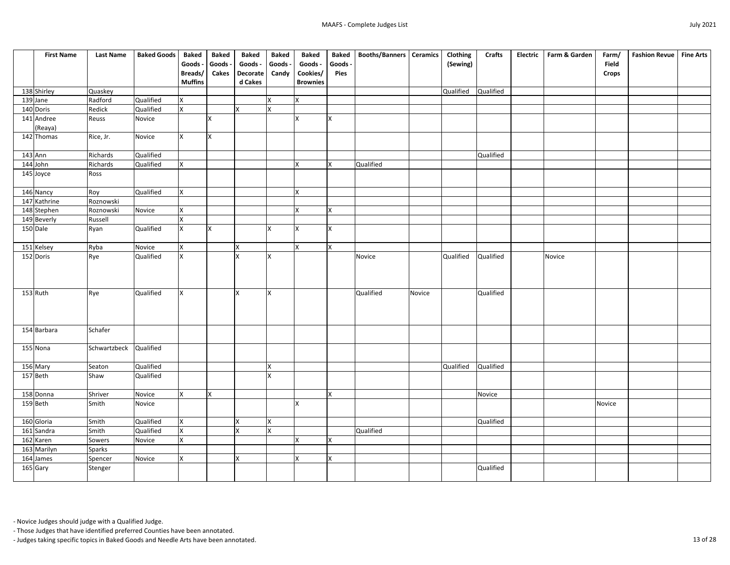| <b>First Name</b>     | <b>Last Name</b> | <b>Baked Goods</b> | <b>Baked</b>   | <b>Baked</b> | <b>Baked</b>    | <b>Baked</b> | <b>Baked</b>    | <b>Baked</b> | Booths/Banners   Ceramics |        | Clothing  | <b>Crafts</b> | <b>Electric</b> | Farm & Garden | Farm/        | <b>Fashion Revue</b> | <b>Fine Arts</b> |
|-----------------------|------------------|--------------------|----------------|--------------|-----------------|--------------|-----------------|--------------|---------------------------|--------|-----------|---------------|-----------------|---------------|--------------|----------------------|------------------|
|                       |                  |                    | Goods -        | Goods -      | Goods -         | Goods -      | Goods -         | Goods -      |                           |        | (Sewing)  |               |                 |               | Field        |                      |                  |
|                       |                  |                    | Breads/        | <b>Cakes</b> | <b>Decorate</b> | Candy        | Cookies/        | <b>Pies</b>  |                           |        |           |               |                 |               | <b>Crops</b> |                      |                  |
|                       |                  |                    | <b>Muffins</b> |              | d Cakes         |              | <b>Brownies</b> |              |                           |        |           |               |                 |               |              |                      |                  |
| 138 Shirley           | Quaskey          |                    |                |              |                 |              |                 |              |                           |        | Qualified | Qualified     |                 |               |              |                      |                  |
| $\overline{1}39$ Jane | Radford          | Qualified          | X.             |              |                 | X            | X               |              |                           |        |           |               |                 |               |              |                      |                  |
| 140 Doris             | Redick           | Qualified          | X.             |              | X               | <b>X</b>     |                 |              |                           |        |           |               |                 |               |              |                      |                  |
| 141 Andree            | Reuss            | Novice             |                | <b>X</b>     |                 |              | X               | IX.          |                           |        |           |               |                 |               |              |                      |                  |
| (Reaya)               |                  |                    |                |              |                 |              |                 |              |                           |        |           |               |                 |               |              |                      |                  |
| 142 Thomas            | Rice, Jr.        | Novice             | <b>X</b>       | lx.          |                 |              |                 |              |                           |        |           |               |                 |               |              |                      |                  |
|                       |                  |                    |                |              |                 |              |                 |              |                           |        |           |               |                 |               |              |                      |                  |
| $143$ Ann             | Richards         | Qualified          |                |              |                 |              |                 |              |                           |        |           | Qualified     |                 |               |              |                      |                  |
| 144 John              | Richards         | Qualified          | $\mathsf{X}^-$ |              |                 |              | X               | X            | Qualified                 |        |           |               |                 |               |              |                      |                  |
| 145 Joyce             | Ross             |                    |                |              |                 |              |                 |              |                           |        |           |               |                 |               |              |                      |                  |
|                       |                  |                    |                |              |                 |              |                 |              |                           |        |           |               |                 |               |              |                      |                  |
| 146 Nancy             | Roy              | Qualified          | X              |              |                 |              | X               |              |                           |        |           |               |                 |               |              |                      |                  |
| 147 Kathrine          | Roznowski        |                    |                |              |                 |              |                 |              |                           |        |           |               |                 |               |              |                      |                  |
| 148 Stephen           | Roznowski        | Novice             | X              |              |                 |              | lx.             | Χ            |                           |        |           |               |                 |               |              |                      |                  |
| 149 Beverly           | Russell          |                    | $\mathsf{X}$   |              |                 |              |                 |              |                           |        |           |               |                 |               |              |                      |                  |
| 150 Dale              | Ryan             | Qualified          | <b>X</b>       | <b>X</b>     |                 | ΙX.          | IX.             | X            |                           |        |           |               |                 |               |              |                      |                  |
|                       |                  |                    |                |              |                 |              |                 |              |                           |        |           |               |                 |               |              |                      |                  |
| 151 Kelsey            | Ryba             | Novice             | $\mathsf{X}^-$ |              | X               |              | X               | Ix.          |                           |        |           |               |                 |               |              |                      |                  |
| 152 Doris             | Rye              | Qualified          | $\mathsf{X}^-$ |              | ΙX              | X            |                 |              | Novice                    |        | Qualified | Qualified     |                 | Novice        |              |                      |                  |
|                       |                  |                    |                |              |                 |              |                 |              |                           |        |           |               |                 |               |              |                      |                  |
|                       |                  |                    |                |              |                 |              |                 |              |                           |        |           |               |                 |               |              |                      |                  |
| 153 Ruth              |                  | Qualified          | X.             |              | Ιx              | <b>X</b>     |                 |              | Qualified                 | Novice |           | Qualified     |                 |               |              |                      |                  |
|                       | Rye              |                    |                |              |                 |              |                 |              |                           |        |           |               |                 |               |              |                      |                  |
|                       |                  |                    |                |              |                 |              |                 |              |                           |        |           |               |                 |               |              |                      |                  |
|                       |                  |                    |                |              |                 |              |                 |              |                           |        |           |               |                 |               |              |                      |                  |
| 154 Barbara           | Schafer          |                    |                |              |                 |              |                 |              |                           |        |           |               |                 |               |              |                      |                  |
|                       |                  |                    |                |              |                 |              |                 |              |                           |        |           |               |                 |               |              |                      |                  |
| 155 Nona              | Schwartzbeck     | <b>Qualified</b>   |                |              |                 |              |                 |              |                           |        |           |               |                 |               |              |                      |                  |
|                       |                  |                    |                |              |                 |              |                 |              |                           |        |           |               |                 |               |              |                      |                  |
| 156 Mary              | Seaton           | Qualified          |                |              |                 | X            |                 |              |                           |        | Qualified | Qualified     |                 |               |              |                      |                  |
| 157 Beth              | Shaw             | Qualified          |                |              |                 | <b>X</b>     |                 |              |                           |        |           |               |                 |               |              |                      |                  |
|                       |                  |                    |                |              |                 |              |                 |              |                           |        |           |               |                 |               |              |                      |                  |
| 158 Donna             | Shriver          | Novice             | $\mathsf{X}^-$ | Ix.          |                 |              |                 | lx.          |                           |        |           | Novice        |                 |               |              |                      |                  |
| 159 Beth              | Smith            | Novice             |                |              |                 |              | X               |              |                           |        |           |               |                 |               | Novice       |                      |                  |
|                       |                  |                    |                |              |                 |              |                 |              |                           |        |           |               |                 |               |              |                      |                  |
| 160 Gloria            | Smith            | Qualified          | X.             |              | X               | <b>X</b>     |                 |              |                           |        |           | Qualified     |                 |               |              |                      |                  |
| 161 Sandra            | Smith            | Qualified          | $\mathsf{X}^-$ |              | ΙX              | X            |                 |              | Qualified                 |        |           |               |                 |               |              |                      |                  |
| 162 Karen             | Sowers           | Novice             | $\mathsf{X}^-$ |              |                 |              | IX.             | X            |                           |        |           |               |                 |               |              |                      |                  |
| 163 Marilyn           | <b>Sparks</b>    |                    |                |              |                 |              |                 |              |                           |        |           |               |                 |               |              |                      |                  |
| 164 James             | Spencer          | Novice             | $\mathsf{X}^-$ |              | X               |              | lx.             | X            |                           |        |           |               |                 |               |              |                      |                  |
| 165 Gary              | Stenger          |                    |                |              |                 |              |                 |              |                           |        |           | Qualified     |                 |               |              |                      |                  |
|                       |                  |                    |                |              |                 |              |                 |              |                           |        |           |               |                 |               |              |                      |                  |

- Those Judges that have identified preferred Counties have been annotated.

- Judges taking specific topics in Baked Goods and Needle Arts have been annotated. 13 of 28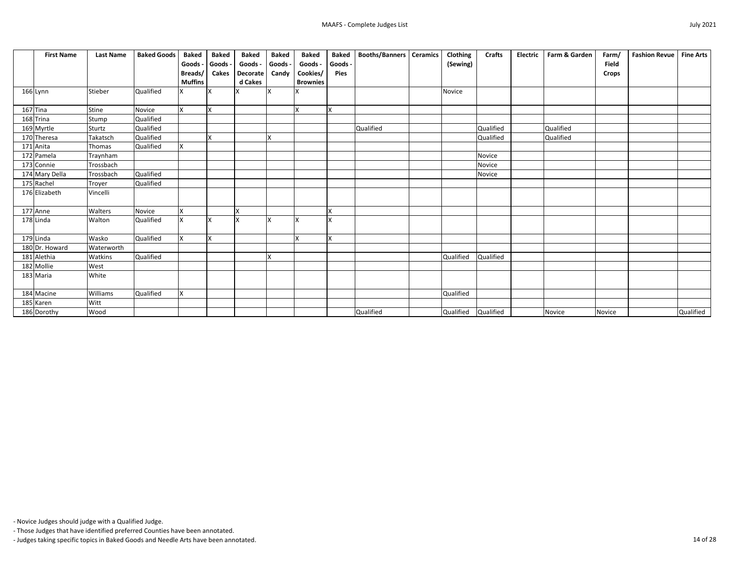| <b>First Name</b> | <b>Last Name</b> | <b>Baked Goods</b> | <b>Baked</b>            | <b>Baked</b> | <b>Baked</b> | <b>Baked</b> | <b>Baked</b>    | <b>Baked</b> | <b>Booths/Banners</b> | <b>Ceramics</b> | Clothing            | <b>Crafts</b> | <b>Electric</b> | Farm & Garden | Farm/        | <b>Fashion Revue</b> | <b>Fine Arts</b> |
|-------------------|------------------|--------------------|-------------------------|--------------|--------------|--------------|-----------------|--------------|-----------------------|-----------------|---------------------|---------------|-----------------|---------------|--------------|----------------------|------------------|
|                   |                  |                    | Goods -                 | Goods -      | Goods -      | Goods -      | Goods -         | Goods -      |                       |                 | (Sewing)            |               |                 |               | <b>Field</b> |                      |                  |
|                   |                  |                    | Breads/                 | <b>Cakes</b> | Decorate     | Candy        | Cookies/        | <b>Pies</b>  |                       |                 |                     |               |                 |               | <b>Crops</b> |                      |                  |
|                   |                  |                    | <b>Muffins</b>          |              | d Cakes      |              | <b>Brownies</b> |              |                       |                 |                     |               |                 |               |              |                      |                  |
| 166 Lynn          | Stieber          | Qualified          | X                       | IX.          |              |              |                 |              |                       |                 | <b>Novice</b>       |               |                 |               |              |                      |                  |
| $167$ Tina        | Stine            | Novice             | <b>X</b>                | lx.          |              |              | X               | Ix.          |                       |                 |                     |               |                 |               |              |                      |                  |
| 168 Trina         | Stump            | <b>Qualified</b>   |                         |              |              |              |                 |              |                       |                 |                     |               |                 |               |              |                      |                  |
| 169 Myrtle        | Sturtz           | Qualified          |                         |              |              |              |                 |              | Qualified             |                 |                     | Qualified     |                 | Qualified     |              |                      |                  |
| 170 Theresa       | Takatsch         | Qualified          |                         | lx.          |              | X            |                 |              |                       |                 |                     | Qualified     |                 | Qualified     |              |                      |                  |
| 171 Anita         | Thomas           | Qualified          | X                       |              |              |              |                 |              |                       |                 |                     |               |                 |               |              |                      |                  |
| 172 Pamela        | Traynham         |                    |                         |              |              |              |                 |              |                       |                 |                     | <b>Novice</b> |                 |               |              |                      |                  |
| 173 Connie        | Trossbach        |                    |                         |              |              |              |                 |              |                       |                 |                     | Novice        |                 |               |              |                      |                  |
| 174 Mary Della    | Trossbach        | Qualified          |                         |              |              |              |                 |              |                       |                 |                     | Novice        |                 |               |              |                      |                  |
| 175 Rachel        | Troyer           | Qualified          |                         |              |              |              |                 |              |                       |                 |                     |               |                 |               |              |                      |                  |
| 176 Elizabeth     | Vincelli         |                    |                         |              |              |              |                 |              |                       |                 |                     |               |                 |               |              |                      |                  |
| 177 Anne          | Walters          | Novice             | X                       |              | X            |              |                 | X            |                       |                 |                     |               |                 |               |              |                      |                  |
| 178 Linda         | Walton           | Qualified          | X                       | Ix.          | X            |              | ΙX              | X            |                       |                 |                     |               |                 |               |              |                      |                  |
| $179$ Linda       | Wasko            | Qualified          | $\overline{\mathsf{x}}$ | Ix.          |              |              | $\mathbf v$     | X.           |                       |                 |                     |               |                 |               |              |                      |                  |
| 180 Dr. Howard    | Waterworth       |                    |                         |              |              |              |                 |              |                       |                 |                     |               |                 |               |              |                      |                  |
| 181 Alethia       | Watkins          | Qualified          |                         |              |              | X            |                 |              |                       |                 | Qualified           | Qualified     |                 |               |              |                      |                  |
| 182 Mollie        | West             |                    |                         |              |              |              |                 |              |                       |                 |                     |               |                 |               |              |                      |                  |
| 183 Maria         | White            |                    |                         |              |              |              |                 |              |                       |                 |                     |               |                 |               |              |                      |                  |
| 184 Macine        | Williams         | Qualified          | X.                      |              |              |              |                 |              |                       |                 | Qualified           |               |                 |               |              |                      |                  |
| 185 Karen         | Witt             |                    |                         |              |              |              |                 |              |                       |                 |                     |               |                 |               |              |                      |                  |
| 186 Dorothy       | Wood             |                    |                         |              |              |              |                 |              | Qualified             |                 | Qualified Qualified |               |                 | <b>Novice</b> | Novice       |                      | Qualified        |

- Those Judges that have identified preferred Counties have been annotated.

- Judges taking specific topics in Baked Goods and Needle Arts have been annotated. 14 of 28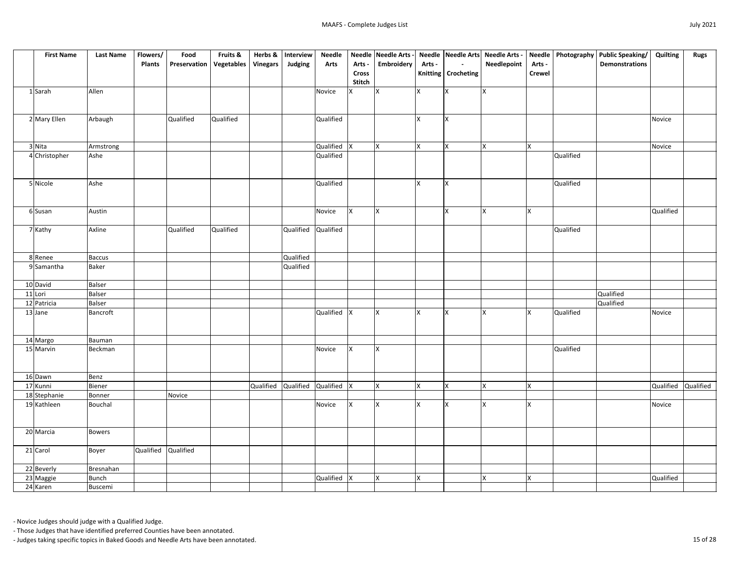| <b>First Name</b> | <b>Last Name</b> | Flowers/      | Food         | Fruits &   | Herbs &         | Interview             | <b>Needle</b> |               | Needle Needle Arts |          |                       | Needle Needle Arts Needle Arts - |               |           | Needle   Photography   Public Speaking/ | Quilting  | <b>Rugs</b> |
|-------------------|------------------|---------------|--------------|------------|-----------------|-----------------------|---------------|---------------|--------------------|----------|-----------------------|----------------------------------|---------------|-----------|-----------------------------------------|-----------|-------------|
|                   |                  | <b>Plants</b> | Preservation | Vegetables | <b>Vinegars</b> | Judging               | <b>Arts</b>   | Arts -        | Embroidery         | Arts -   | $\sim$                | Needlepoint                      | Arts -        |           | <b>Demonstrations</b>                   |           |             |
|                   |                  |               |              |            |                 |                       |               | <b>Cross</b>  |                    |          | Knitting   Crocheting |                                  | <b>Crewel</b> |           |                                         |           |             |
|                   |                  |               |              |            |                 |                       |               | <b>Stitch</b> |                    |          |                       |                                  |               |           |                                         |           |             |
| 1 Sarah           | Allen            |               |              |            |                 |                       | Novice        | Ix.           | ΙX                 | Ιx       | Ιx                    | <b>X</b>                         |               |           |                                         |           |             |
|                   |                  |               |              |            |                 |                       |               |               |                    |          |                       |                                  |               |           |                                         |           |             |
|                   |                  |               |              |            |                 |                       |               |               |                    |          |                       |                                  |               |           |                                         |           |             |
| 2 Mary Ellen      | Arbaugh          |               | Qualified    | Qualified  |                 |                       | Qualified     |               |                    | lχ       | Ιx                    |                                  |               |           |                                         | Novice    |             |
|                   |                  |               |              |            |                 |                       |               |               |                    |          |                       |                                  |               |           |                                         |           |             |
|                   |                  |               |              |            |                 |                       |               |               |                    |          |                       |                                  |               |           |                                         |           |             |
| 3 Nita            | Armstrong        |               |              |            |                 |                       | Qualified  X  |               | Ιv                 | Ιx       | lx.                   | <b>X</b>                         | <b>X</b>      |           |                                         | Novice    |             |
| 4 Christopher     | Ashe             |               |              |            |                 |                       | Qualified     |               |                    |          |                       |                                  |               | Qualified |                                         |           |             |
|                   |                  |               |              |            |                 |                       |               |               |                    |          |                       |                                  |               |           |                                         |           |             |
|                   |                  |               |              |            |                 |                       |               |               |                    |          |                       |                                  |               |           |                                         |           |             |
| 5 Nicole          | Ashe             |               |              |            |                 |                       | Qualified     |               |                    | lχ       | Ιx                    |                                  |               | Qualified |                                         |           |             |
|                   |                  |               |              |            |                 |                       |               |               |                    |          |                       |                                  |               |           |                                         |           |             |
|                   |                  |               |              |            |                 |                       |               |               |                    |          |                       |                                  |               |           |                                         |           |             |
| 6 Susan           | Austin           |               |              |            |                 |                       | Novice        | <b>X</b>      | ΙX                 |          | lχ                    | <b>X</b>                         | <b>X</b>      |           |                                         | Qualified |             |
|                   |                  |               |              |            |                 |                       |               |               |                    |          |                       |                                  |               |           |                                         |           |             |
|                   | Axline           |               | Qualified    | Qualified  |                 | Qualified             | Qualified     |               |                    |          |                       |                                  |               | Qualified |                                         |           |             |
| 7 Kathy           |                  |               |              |            |                 |                       |               |               |                    |          |                       |                                  |               |           |                                         |           |             |
|                   |                  |               |              |            |                 |                       |               |               |                    |          |                       |                                  |               |           |                                         |           |             |
|                   | <b>Baccus</b>    |               |              |            |                 | Qualified             |               |               |                    |          |                       |                                  |               |           |                                         |           |             |
| 8 Renee           |                  |               |              |            |                 |                       |               |               |                    |          |                       |                                  |               |           |                                         |           |             |
| 9 Samantha        | <b>Baker</b>     |               |              |            |                 | Qualified             |               |               |                    |          |                       |                                  |               |           |                                         |           |             |
|                   | <b>Balser</b>    |               |              |            |                 |                       |               |               |                    |          |                       |                                  |               |           |                                         |           |             |
| 10 David          |                  |               |              |            |                 |                       |               |               |                    |          |                       |                                  |               |           | Qualified                               |           |             |
| 11 Lori           | <b>Balser</b>    |               |              |            |                 |                       |               |               |                    |          |                       |                                  |               |           |                                         |           |             |
| 12 Patricia       | <b>Balser</b>    |               |              |            |                 |                       |               |               |                    | Ιx       |                       |                                  |               |           | Qualified                               |           |             |
| 13 Jane           | Bancroft         |               |              |            |                 |                       | Qualified X   |               | IΧ                 |          | Ιx                    | <b>X</b>                         | <b>X</b>      | Qualified |                                         | Novice    |             |
|                   |                  |               |              |            |                 |                       |               |               |                    |          |                       |                                  |               |           |                                         |           |             |
|                   |                  |               |              |            |                 |                       |               |               |                    |          |                       |                                  |               |           |                                         |           |             |
| 14 Margo          | Bauman           |               |              |            |                 |                       |               |               |                    |          |                       |                                  |               |           |                                         |           |             |
| 15 Marvin         | Beckman          |               |              |            |                 |                       | Novice        | <b>X</b>      | IX.                |          |                       |                                  |               | Qualified |                                         |           |             |
|                   |                  |               |              |            |                 |                       |               |               |                    |          |                       |                                  |               |           |                                         |           |             |
|                   |                  |               |              |            |                 |                       |               |               |                    |          |                       |                                  |               |           |                                         |           |             |
| 16 Dawn           | Benz             |               |              |            | Qualified       |                       |               |               | Ix.                | <b>X</b> | lχ                    | $\mathsf{x}$                     |               |           |                                         |           |             |
| $17$ Kunni        | Biener           |               | Novice       |            |                 | Qualified Qualified X |               |               |                    |          |                       |                                  | X.            |           |                                         | Qualified | Qualified   |
| 18 Stephanie      | Bonner           |               |              |            |                 |                       |               |               |                    |          |                       |                                  |               |           |                                         |           |             |
| 19 Kathleen       | Bouchal          |               |              |            |                 |                       | Novice        | <b>X</b>      | ΙX                 | X        | Ιx                    | X                                | $\mathsf{X}$  |           |                                         | Novice    |             |
|                   |                  |               |              |            |                 |                       |               |               |                    |          |                       |                                  |               |           |                                         |           |             |
|                   |                  |               |              |            |                 |                       |               |               |                    |          |                       |                                  |               |           |                                         |           |             |
| 20 Marcia         | <b>Bowers</b>    |               |              |            |                 |                       |               |               |                    |          |                       |                                  |               |           |                                         |           |             |
|                   |                  |               |              |            |                 |                       |               |               |                    |          |                       |                                  |               |           |                                         |           |             |
| 21 Carol          | Boyer            | Qualified     | Qualified    |            |                 |                       |               |               |                    |          |                       |                                  |               |           |                                         |           |             |
|                   |                  |               |              |            |                 |                       |               |               |                    |          |                       |                                  |               |           |                                         |           |             |
| 22 Beverly        | Bresnahan        |               |              |            |                 |                       |               |               |                    |          |                       |                                  |               |           |                                         |           |             |
| 23 Maggie         | <b>Bunch</b>     |               |              |            |                 |                       | Qualified X   |               |                    | X        |                       | X                                | <b>X</b>      |           |                                         | Qualified |             |
| 24 Karen          | Buscemi          |               |              |            |                 |                       |               |               |                    |          |                       |                                  |               |           |                                         |           |             |

- Those Judges that have identified preferred Counties have been annotated.

- Judges taking specific topics in Baked Goods and Needle Arts have been annotated. 15 of 28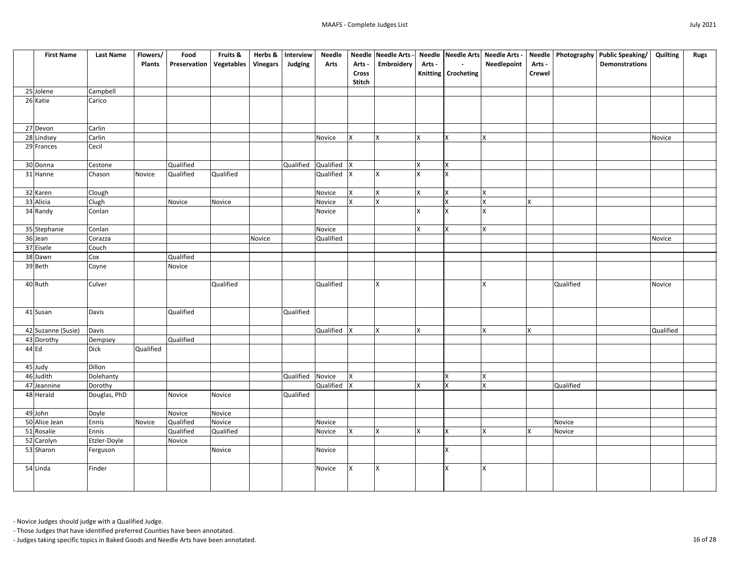| <b>First Name</b>        | <b>Last Name</b> | Flowers/         | Food                             | Fruits &  | Herbs &         | Interview        | <b>Needle</b> |                | Needle Needle Arts |          |                       | Needle Needle Arts Needle Arts - |                |           | Needle   Photography   Public Speaking/ | Quilting  | <b>Rugs</b> |
|--------------------------|------------------|------------------|----------------------------------|-----------|-----------------|------------------|---------------|----------------|--------------------|----------|-----------------------|----------------------------------|----------------|-----------|-----------------------------------------|-----------|-------------|
|                          |                  | <b>Plants</b>    | <b>Preservation   Vegetables</b> |           | <b>Vinegars</b> | Judging          | <b>Arts</b>   | Arts -         | Embroidery         | Arts -   | $\sim$                | Needlepoint                      | Arts -         |           | <b>Demonstrations</b>                   |           |             |
|                          |                  |                  |                                  |           |                 |                  |               | <b>Cross</b>   |                    |          | Knitting   Crocheting |                                  | <b>Crewel</b>  |           |                                         |           |             |
|                          |                  |                  |                                  |           |                 |                  |               | <b>Stitch</b>  |                    |          |                       |                                  |                |           |                                         |           |             |
| 25 Jolene                | Campbell         |                  |                                  |           |                 |                  |               |                |                    |          |                       |                                  |                |           |                                         |           |             |
| 26 Katie                 | Carico           |                  |                                  |           |                 |                  |               |                |                    |          |                       |                                  |                |           |                                         |           |             |
|                          |                  |                  |                                  |           |                 |                  |               |                |                    |          |                       |                                  |                |           |                                         |           |             |
|                          |                  |                  |                                  |           |                 |                  |               |                |                    |          |                       |                                  |                |           |                                         |           |             |
| 27 Devon                 | Carlin           |                  |                                  |           |                 |                  |               |                |                    |          |                       |                                  |                |           |                                         |           |             |
| 28 Lindsey               | Carlin           |                  |                                  |           |                 |                  | Novice        | X.             | lχ                 | ΙX       | Ιx                    | X                                |                |           |                                         | Novice    |             |
| 29 Frances               | Cecil            |                  |                                  |           |                 |                  |               |                |                    |          |                       |                                  |                |           |                                         |           |             |
|                          |                  |                  |                                  |           |                 |                  |               |                |                    |          |                       |                                  |                |           |                                         |           |             |
| 30 Donna                 | Cestone          |                  | Qualified                        |           |                 | Qualified        | Qualified     | $\mathsf{X}$   |                    | X        | lχ                    |                                  |                |           |                                         |           |             |
| 31 Hanne                 | Chason           | Novice           | Qualified                        | Qualified |                 |                  | Qualified  X  |                |                    |          |                       |                                  |                |           |                                         |           |             |
| 32 Karen                 | Clough           |                  |                                  |           |                 |                  | Novice        | <b>X</b>       | lχ                 | <b>X</b> | Ιx                    | X                                |                |           |                                         |           |             |
| 33 Alicia                | Clugh            |                  | Novice                           | Novice    |                 |                  | Novice        | $\mathsf{X}^-$ | ΙX                 |          | X                     | $\mathsf{\chi}$                  | $\mathsf{X}^-$ |           |                                         |           |             |
| 34 Randy                 | Conlan           |                  |                                  |           |                 |                  | Novice        |                |                    |          | lχ                    | X                                |                |           |                                         |           |             |
|                          |                  |                  |                                  |           |                 |                  |               |                |                    |          |                       |                                  |                |           |                                         |           |             |
| 35 Stephanie             | Conlan           |                  |                                  |           |                 |                  | Novice        |                |                    | <b>X</b> | Ix.                   | X.                               |                |           |                                         |           |             |
| 36 Jean                  | Corazza          |                  |                                  |           | Novice          |                  | Qualified     |                |                    |          |                       |                                  |                |           |                                         | Novice    |             |
| 37 Eisele                | Couch            |                  |                                  |           |                 |                  |               |                |                    |          |                       |                                  |                |           |                                         |           |             |
| 38 Dawn                  | Cox              |                  | Qualified                        |           |                 |                  |               |                |                    |          |                       |                                  |                |           |                                         |           |             |
| 39 Beth                  | Coyne            |                  | Novice                           |           |                 |                  |               |                |                    |          |                       |                                  |                |           |                                         |           |             |
|                          |                  |                  |                                  |           |                 |                  |               |                |                    |          |                       |                                  |                |           |                                         |           |             |
| 40 Ruth                  | Culver           |                  |                                  | Qualified |                 |                  | Qualified     |                | Iх                 |          |                       | $\mathsf{x}$                     |                | Qualified |                                         | Novice    |             |
|                          |                  |                  |                                  |           |                 |                  |               |                |                    |          |                       |                                  |                |           |                                         |           |             |
|                          |                  |                  |                                  |           |                 |                  |               |                |                    |          |                       |                                  |                |           |                                         |           |             |
| 41 Susan                 | Davis            |                  | Qualified                        |           |                 | Qualified        |               |                |                    |          |                       |                                  |                |           |                                         |           |             |
|                          |                  |                  |                                  |           |                 |                  |               |                |                    |          |                       |                                  |                |           |                                         |           |             |
| 42 Suzanne (Susie)       | Davis            |                  |                                  |           |                 |                  | Qualified     | <b>X</b>       | IX.                | lx.      |                       | X                                | $\mathsf{X}$   |           |                                         | Qualified |             |
| 43 Dorothy               | Dempsey          |                  | Qualified                        |           |                 |                  |               |                |                    |          |                       |                                  |                |           |                                         |           |             |
| $44$ Ed                  | <b>Dick</b>      | <b>Qualified</b> |                                  |           |                 |                  |               |                |                    |          |                       |                                  |                |           |                                         |           |             |
|                          |                  |                  |                                  |           |                 |                  |               |                |                    |          |                       |                                  |                |           |                                         |           |             |
| 45 Judy                  | Dillon           |                  |                                  |           |                 |                  |               |                |                    |          |                       |                                  |                |           |                                         |           |             |
| 46 Judith                | Dolehanty        |                  |                                  |           |                 | Qualified Novice |               | <b>X</b>       |                    |          | <b>X</b>              | X                                |                |           |                                         |           |             |
| 47 Jeannine              | Dorothy          |                  |                                  |           |                 |                  | Qualified     | $\mathsf{X}$   |                    |          | lχ                    | X                                |                | Qualified |                                         |           |             |
| 48 Herald                | Douglas, PhD     |                  | Novice                           | Novice    |                 | Qualified        |               |                |                    |          |                       |                                  |                |           |                                         |           |             |
|                          |                  |                  | Novice                           | Novice    |                 |                  |               |                |                    |          |                       |                                  |                |           |                                         |           |             |
| 49 John<br>50 Alice Jean | Doyle<br>Ennis   | Novice           | Qualified                        | Novice    |                 |                  | Novice        |                |                    |          |                       |                                  |                | Novice    |                                         |           |             |
| 51 Rosalie               | Ennis            |                  | Qualified                        | Qualified |                 |                  | Novice        | $\mathsf{X}$   |                    | ΙX       | Ιx                    | X                                | X              | Novice    |                                         |           |             |
| 52 Carolyn               | Etzler-Doyle     |                  | Novice                           |           |                 |                  |               |                |                    |          |                       |                                  |                |           |                                         |           |             |
| 53 Sharon                | Ferguson         |                  |                                  | Novice    |                 |                  | Novice        |                |                    |          | lχ                    |                                  |                |           |                                         |           |             |
|                          |                  |                  |                                  |           |                 |                  |               |                |                    |          |                       |                                  |                |           |                                         |           |             |
| 54 Linda                 | Finder           |                  |                                  |           |                 |                  | Novice        | $\mathsf{X}$   | lχ                 |          | <b>X</b>              | <b>X</b>                         |                |           |                                         |           |             |
|                          |                  |                  |                                  |           |                 |                  |               |                |                    |          |                       |                                  |                |           |                                         |           |             |
|                          |                  |                  |                                  |           |                 |                  |               |                |                    |          |                       |                                  |                |           |                                         |           |             |
|                          |                  |                  |                                  |           |                 |                  |               |                |                    |          |                       |                                  |                |           |                                         |           |             |

- Those Judges that have identified preferred Counties have been annotated.

- Judges taking specific topics in Baked Goods and Needle Arts have been annotated. 16 of 28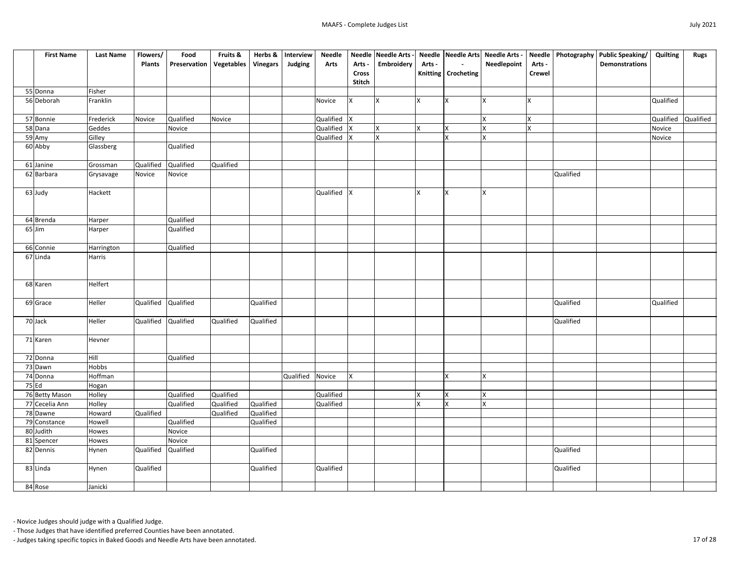| <b>First Name</b>   | <b>Last Name</b> | Flowers/      | Food         | Fruits &   | Herbs &         | Interview | <b>Needle</b> |               | Needle Needle Arts |          |                       | Needle Needle Arts Needle Arts - |                |           | Needle   Photography   Public Speaking/ | Quilting  | <b>Rugs</b> |
|---------------------|------------------|---------------|--------------|------------|-----------------|-----------|---------------|---------------|--------------------|----------|-----------------------|----------------------------------|----------------|-----------|-----------------------------------------|-----------|-------------|
|                     |                  | <b>Plants</b> | Preservation | Vegetables | <b>Vinegars</b> | Judging   | <b>Arts</b>   | Arts -        | Embroidery         | Arts -   | $\sim$ $-$            | <b>Needlepoint</b>               | Arts -         |           | <b>Demonstrations</b>                   |           |             |
|                     |                  |               |              |            |                 |           |               | <b>Cross</b>  |                    |          | Knitting   Crocheting |                                  | <b>Crewel</b>  |           |                                         |           |             |
|                     |                  |               |              |            |                 |           |               | <b>Stitch</b> |                    |          |                       |                                  |                |           |                                         |           |             |
| 55 Donna            | Fisher           |               |              |            |                 |           |               |               |                    |          |                       |                                  |                |           |                                         |           |             |
| 56 Deborah          | Franklin         |               |              |            |                 |           | Novice        | <b>X</b>      | IX.                | ΙX       | lχ                    | ΙX                               | <b>X</b>       |           |                                         | Qualified |             |
| 57 Bonnie           | Frederick        | Novice        | Qualified    | Novice     |                 |           | Qualified X   |               |                    |          |                       | ΙX                               | X              |           |                                         | Qualified | Qualified   |
| 58 Dana             | Geddes           |               | Novice       |            |                 |           | Qualified X   |               | lx.                | <b>X</b> | X                     | X                                | $\mathsf{X}^-$ |           |                                         | Novice    |             |
| 59 Amy              | Gilley           |               |              |            |                 |           | Qualified     | $\mathsf{X}$  |                    |          | $\mathbf{x}$          | $\overline{X}$                   |                |           |                                         | Novice    |             |
| 60 Abby             | Glassberg        |               | Qualified    |            |                 |           |               |               |                    |          |                       |                                  |                |           |                                         |           |             |
|                     |                  |               |              |            |                 |           |               |               |                    |          |                       |                                  |                |           |                                         |           |             |
| 61 Janine           | Grossman         | Qualified     | Qualified    | Qualified  |                 |           |               |               |                    |          |                       |                                  |                |           |                                         |           |             |
| 62 Barbara          | Grysavage        | Novice        | Novice       |            |                 |           |               |               |                    |          |                       |                                  |                | Qualified |                                         |           |             |
|                     |                  |               |              |            |                 |           |               |               |                    |          |                       |                                  |                |           |                                         |           |             |
| 63 Judy             | Hackett          |               |              |            |                 |           | Qualified X   |               |                    | lχ       | lχ                    | <b>X</b>                         |                |           |                                         |           |             |
|                     |                  |               |              |            |                 |           |               |               |                    |          |                       |                                  |                |           |                                         |           |             |
|                     |                  |               |              |            |                 |           |               |               |                    |          |                       |                                  |                |           |                                         |           |             |
| 64 Brenda           | Harper           |               | Qualified    |            |                 |           |               |               |                    |          |                       |                                  |                |           |                                         |           |             |
| $65$ Jim            | Harper           |               | Qualified    |            |                 |           |               |               |                    |          |                       |                                  |                |           |                                         |           |             |
| 66 Connie           | Harrington       |               | Qualified    |            |                 |           |               |               |                    |          |                       |                                  |                |           |                                         |           |             |
| 67 Linda            | <b>Harris</b>    |               |              |            |                 |           |               |               |                    |          |                       |                                  |                |           |                                         |           |             |
|                     |                  |               |              |            |                 |           |               |               |                    |          |                       |                                  |                |           |                                         |           |             |
|                     |                  |               |              |            |                 |           |               |               |                    |          |                       |                                  |                |           |                                         |           |             |
| 68 Karen            | <b>Helfert</b>   |               |              |            |                 |           |               |               |                    |          |                       |                                  |                |           |                                         |           |             |
|                     |                  |               |              |            |                 |           |               |               |                    |          |                       |                                  |                |           |                                         |           |             |
| 69 Grace            | Heller           | Qualified     | Qualified    |            | Qualified       |           |               |               |                    |          |                       |                                  |                | Qualified |                                         | Qualified |             |
|                     |                  |               |              |            |                 |           |               |               |                    |          |                       |                                  |                |           |                                         |           |             |
| 70 Jack             | Heller           | Qualified     | Qualified    | Qualified  | Qualified       |           |               |               |                    |          |                       |                                  |                | Qualified |                                         |           |             |
|                     |                  |               |              |            |                 |           |               |               |                    |          |                       |                                  |                |           |                                         |           |             |
| 71 Karen            | Hevner           |               |              |            |                 |           |               |               |                    |          |                       |                                  |                |           |                                         |           |             |
|                     |                  |               |              |            |                 |           |               |               |                    |          |                       |                                  |                |           |                                         |           |             |
| 72 Donna            | Hill             |               | Qualified    |            |                 |           |               |               |                    |          |                       |                                  |                |           |                                         |           |             |
| 73 Dawn             | Hobbs            |               |              |            |                 |           |               |               |                    |          |                       |                                  |                |           |                                         |           |             |
| 74 Donna<br>$75$ Ed | Hoffman          |               |              |            |                 | Qualified | Novice        | <b>X</b>      |                    |          | X                     | <b>X</b>                         |                |           |                                         |           |             |
| 76 Betty Mason      | Hogan<br>Holley  |               | Qualified    | Qualified  |                 |           | Qualified     |               |                    |          | ΙX                    | X                                |                |           |                                         |           |             |
| 77 Cecelia Ann      | Holley           |               | Qualified    | Qualified  | Qualified       |           | Qualified     |               |                    |          | Ιx                    | <b>X</b>                         |                |           |                                         |           |             |
| 78 Dawne            | Howard           | Qualified     |              | Qualified  | Qualified       |           |               |               |                    |          |                       |                                  |                |           |                                         |           |             |
| 79 Constance        | Howell           |               | Qualified    |            | Qualified       |           |               |               |                    |          |                       |                                  |                |           |                                         |           |             |
| 80 Judith           | Howes            |               | Novice       |            |                 |           |               |               |                    |          |                       |                                  |                |           |                                         |           |             |
| 81 Spencer          | Howes            |               | Novice       |            |                 |           |               |               |                    |          |                       |                                  |                |           |                                         |           |             |
| 82 Dennis           | Hynen            | Qualified     | Qualified    |            | Qualified       |           |               |               |                    |          |                       |                                  |                | Qualified |                                         |           |             |
|                     |                  |               |              |            |                 |           |               |               |                    |          |                       |                                  |                |           |                                         |           |             |
| 83 Linda            | Hynen            | Qualified     |              |            | Qualified       |           | Qualified     |               |                    |          |                       |                                  |                | Qualified |                                         |           |             |
|                     |                  |               |              |            |                 |           |               |               |                    |          |                       |                                  |                |           |                                         |           |             |
| 84 Rose             | Janicki          |               |              |            |                 |           |               |               |                    |          |                       |                                  |                |           |                                         |           |             |

- Those Judges that have identified preferred Counties have been annotated.

- Judges taking specific topics in Baked Goods and Needle Arts have been annotated. 17 of 28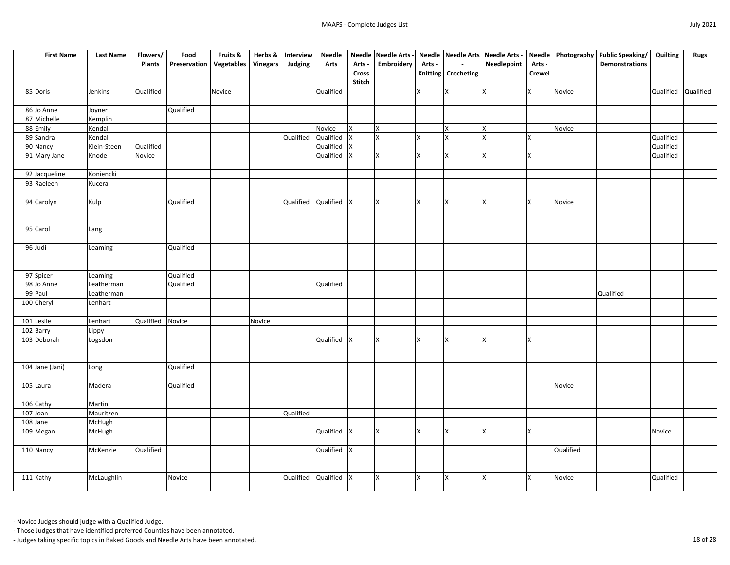| <b>First Name</b>        | <b>Last Name</b> | Flowers/         | Food                | Fruits &          | Herbs &         | Interview             | <b>Needle</b> |              | Needle Needle Arts - |              |                       | Needle Needle Arts Needle Arts - |                |           | Needle   Photography   Public Speaking/ | <b>Quilting</b> | <b>Rugs</b> |
|--------------------------|------------------|------------------|---------------------|-------------------|-----------------|-----------------------|---------------|--------------|----------------------|--------------|-----------------------|----------------------------------|----------------|-----------|-----------------------------------------|-----------------|-------------|
|                          |                  | <b>Plants</b>    | <b>Preservation</b> | <b>Vegetables</b> | <b>Vinegars</b> | Judging               | <b>Arts</b>   | Arts -       | <b>Embroidery</b>    | Arts -       | $\sim$                | <b>Needlepoint</b>               | Arts -         |           | <b>Demonstrations</b>                   |                 |             |
|                          |                  |                  |                     |                   |                 |                       |               | <b>Cross</b> |                      |              | Knitting   Crocheting |                                  | <b>Crewel</b>  |           |                                         |                 |             |
|                          |                  |                  |                     |                   |                 |                       |               | Stitch       |                      |              |                       |                                  |                |           |                                         |                 |             |
| 85 Doris                 | Jenkins          | Qualified        |                     | Novice            |                 |                       | Qualified     |              |                      | $\mathsf{X}$ | X                     | <b>X</b>                         | X              | Novice    |                                         | Qualified       | Qualified   |
| 86 Jo Anne               | Joyner           |                  | Qualified           |                   |                 |                       |               |              |                      |              |                       |                                  |                |           |                                         |                 |             |
| 87 Michelle              | Kemplin          |                  |                     |                   |                 |                       |               |              |                      |              |                       |                                  |                |           |                                         |                 |             |
| 88 Emily                 | Kendall          |                  |                     |                   |                 |                       | Novice        | IX.          | <b>X</b>             |              | X                     | <b>X</b>                         |                | Novice    |                                         |                 |             |
| 89 Sandra                | Kendall          |                  |                     |                   |                 | Qualified             | Qualified  X  |              | Ιx                   | X.           | X                     | $\mathsf{X}$                     | X              |           |                                         | Qualified       |             |
| 90 Nancy                 | Klein-Steen      | Qualified        |                     |                   |                 |                       | Qualified X   |              |                      |              |                       |                                  |                |           |                                         | Qualified       |             |
| 91 Mary Jane             | Knode            | Novice           |                     |                   |                 |                       | Qualified  X  |              | Ιx                   | IX.          | x                     | <b>X</b>                         | X.             |           |                                         | Qualified       |             |
| 92 Jacqueline            | Koniencki        |                  |                     |                   |                 |                       |               |              |                      |              |                       |                                  |                |           |                                         |                 |             |
| 93 Raeleen               | Kucera           |                  |                     |                   |                 |                       |               |              |                      |              |                       |                                  |                |           |                                         |                 |             |
| 94 Carolyn               | Kulp             |                  | Qualified           |                   |                 | Qualified Qualified X |               |              | <b>X</b>             | Ix.          | Ιx                    | <b>X</b>                         | X.             | Novice    |                                         |                 |             |
|                          |                  |                  |                     |                   |                 |                       |               |              |                      |              |                       |                                  |                |           |                                         |                 |             |
| 95 Carol                 | Lang             |                  |                     |                   |                 |                       |               |              |                      |              |                       |                                  |                |           |                                         |                 |             |
| 96 Judi                  | Leaming          |                  | Qualified           |                   |                 |                       |               |              |                      |              |                       |                                  |                |           |                                         |                 |             |
|                          |                  |                  |                     |                   |                 |                       |               |              |                      |              |                       |                                  |                |           |                                         |                 |             |
|                          |                  |                  |                     |                   |                 |                       |               |              |                      |              |                       |                                  |                |           |                                         |                 |             |
| 97 Spicer                | Leaming          |                  | Qualified           |                   |                 |                       |               |              |                      |              |                       |                                  |                |           |                                         |                 |             |
| 98 Jo Anne               | Leatherman       |                  | <b>Qualified</b>    |                   |                 |                       | Qualified     |              |                      |              |                       |                                  |                |           |                                         |                 |             |
| 99 Paul                  | Leatherman       |                  |                     |                   |                 |                       |               |              |                      |              |                       |                                  |                |           | Qualified                               |                 |             |
| 100 Cheryl               | Lenhart          |                  |                     |                   |                 |                       |               |              |                      |              |                       |                                  |                |           |                                         |                 |             |
| 101 Leslie               | Lenhart          | <b>Qualified</b> | Novice              |                   | Novice          |                       |               |              |                      |              |                       |                                  |                |           |                                         |                 |             |
|                          | Lippy            |                  |                     |                   |                 |                       |               |              |                      |              |                       |                                  |                |           |                                         |                 |             |
| 102 Barry<br>103 Deborah | Logsdon          |                  |                     |                   |                 |                       | Qualified X   |              | X.                   | x            | <b>X</b>              | <b>X</b>                         | X              |           |                                         |                 |             |
|                          |                  |                  |                     |                   |                 |                       |               |              |                      |              |                       |                                  |                |           |                                         |                 |             |
| 104 Jane (Jani)          | Long             |                  | Qualified           |                   |                 |                       |               |              |                      |              |                       |                                  |                |           |                                         |                 |             |
| 105 Laura                | Madera           |                  | Qualified           |                   |                 |                       |               |              |                      |              |                       |                                  |                | Novice    |                                         |                 |             |
|                          |                  |                  |                     |                   |                 |                       |               |              |                      |              |                       |                                  |                |           |                                         |                 |             |
| 106 Cathy                | Martin           |                  |                     |                   |                 |                       |               |              |                      |              |                       |                                  |                |           |                                         |                 |             |
| $107$ Joan               | Mauritzen        |                  |                     |                   |                 | Qualified             |               |              |                      |              |                       |                                  |                |           |                                         |                 |             |
| 108 Jane                 | McHugh           |                  |                     |                   |                 |                       |               |              |                      |              |                       |                                  |                |           |                                         |                 |             |
| 109 Megan                | McHugh           |                  |                     |                   |                 |                       | Qualified X   |              | ΙX                   | Χ            | x                     | X                                | X              |           |                                         | Novice          |             |
| 110 Nancy                | McKenzie         | Qualified        |                     |                   |                 |                       | Qualified  X  |              |                      |              |                       |                                  |                | Qualified |                                         |                 |             |
|                          |                  |                  |                     |                   |                 |                       |               |              |                      |              |                       |                                  |                |           |                                         |                 |             |
| 111 Kathy                | McLaughlin       |                  | Novice              |                   |                 | Qualified Qualified X |               |              | <b>X</b>             | lx.          | X                     | <b>X</b>                         | $\mathsf{X}^-$ | Novice    |                                         | Qualified       |             |
|                          |                  |                  |                     |                   |                 |                       |               |              |                      |              |                       |                                  |                |           |                                         |                 |             |

- Those Judges that have identified preferred Counties have been annotated.

- Judges taking specific topics in Baked Goods and Needle Arts have been annotated. 18 of 28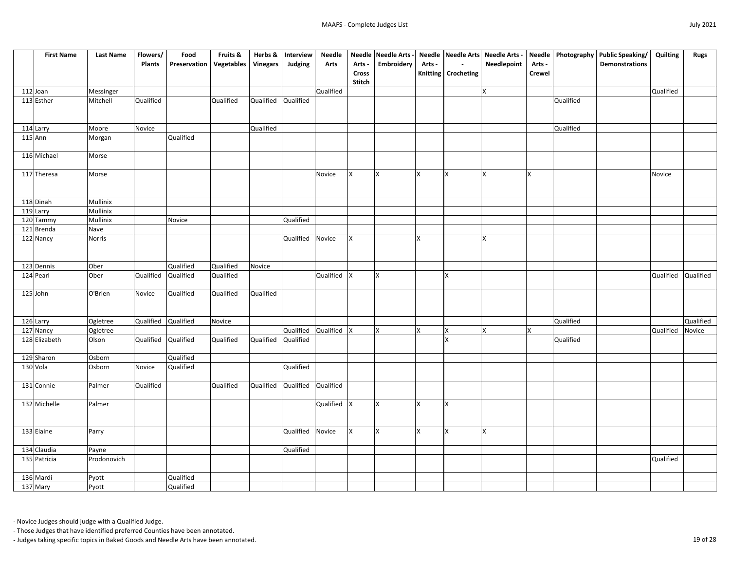| <b>First Name</b> | <b>Last Name</b> | Flowers/            | Food                | Fruits &                      | Herbs &   | Interview             | <b>Needle</b> |               | Needle Needle Arts - |        |                       | Needle  Needle Arts  Needle Arts - |               |           | Needle   Photography   Public Speaking/ | Quilting  | <b>Rugs</b> |
|-------------------|------------------|---------------------|---------------------|-------------------------------|-----------|-----------------------|---------------|---------------|----------------------|--------|-----------------------|------------------------------------|---------------|-----------|-----------------------------------------|-----------|-------------|
|                   |                  | <b>Plants</b>       | <b>Preservation</b> | Vegetables                    | Vinegars  | Judging               | <b>Arts</b>   | Arts -        | <b>Embroidery</b>    | Arts - | $\sim$                | Needlepoint                        | Arts -        |           | <b>Demonstrations</b>                   |           |             |
|                   |                  |                     |                     |                               |           |                       |               | <b>Cross</b>  |                      |        | Knitting   Crocheting |                                    | <b>Crewel</b> |           |                                         |           |             |
|                   |                  |                     |                     |                               |           |                       |               | <b>Stitch</b> |                      |        |                       |                                    |               |           |                                         |           |             |
| $112$ Joan        | Messinger        |                     |                     |                               |           |                       | Qualified     |               |                      |        |                       | X                                  |               |           |                                         | Qualified |             |
| 113 Esther        | Mitchell         | Qualified           |                     | Qualified                     | Qualified | Qualified             |               |               |                      |        |                       |                                    |               | Qualified |                                         |           |             |
|                   |                  |                     |                     |                               |           |                       |               |               |                      |        |                       |                                    |               |           |                                         |           |             |
|                   |                  |                     |                     |                               |           |                       |               |               |                      |        |                       |                                    |               |           |                                         |           |             |
| 114 Larry         | Moore            | Novice              |                     |                               | Qualified |                       |               |               |                      |        |                       |                                    |               | Qualified |                                         |           |             |
| $115$ Ann         | Morgan           |                     | Qualified           |                               |           |                       |               |               |                      |        |                       |                                    |               |           |                                         |           |             |
|                   |                  |                     |                     |                               |           |                       |               |               |                      |        |                       |                                    |               |           |                                         |           |             |
| 116 Michael       | Morse            |                     |                     |                               |           |                       |               |               |                      |        |                       |                                    |               |           |                                         |           |             |
|                   |                  |                     |                     |                               |           |                       |               |               |                      |        |                       |                                    |               |           |                                         |           |             |
| 117 Theresa       | Morse            |                     |                     |                               |           |                       | Novice        | IX.           | $\mathsf{X}$         | Ιx     |                       | X                                  | X             |           |                                         | Novice    |             |
|                   |                  |                     |                     |                               |           |                       |               |               |                      |        |                       |                                    |               |           |                                         |           |             |
|                   |                  |                     |                     |                               |           |                       |               |               |                      |        |                       |                                    |               |           |                                         |           |             |
| 118 Dinah         | Mullinix         |                     |                     |                               |           |                       |               |               |                      |        |                       |                                    |               |           |                                         |           |             |
| $119$ Larry       | Mullinix         |                     |                     |                               |           |                       |               |               |                      |        |                       |                                    |               |           |                                         |           |             |
| 120 Tammy         | Mullinix         |                     | Novice              |                               |           | Qualified             |               |               |                      |        |                       |                                    |               |           |                                         |           |             |
| 121 Brenda        | Nave             |                     |                     |                               |           |                       |               |               |                      |        |                       |                                    |               |           |                                         |           |             |
| 122 Nancy         | <b>Norris</b>    |                     |                     |                               |           | Qualified Novice      |               | Ix.           |                      | X      |                       | X                                  |               |           |                                         |           |             |
|                   |                  |                     |                     |                               |           |                       |               |               |                      |        |                       |                                    |               |           |                                         |           |             |
|                   |                  |                     |                     |                               |           |                       |               |               |                      |        |                       |                                    |               |           |                                         |           |             |
| 123 Dennis        | Ober             |                     | Qualified           | Qualified                     | Novice    |                       |               |               |                      |        |                       |                                    |               |           |                                         |           |             |
| 124 Pearl         | Ober             | Qualified           | Qualified           | Qualified                     |           |                       | Qualified X   |               | İΧ                   |        |                       |                                    |               |           |                                         | Qualified | Qualified   |
|                   |                  |                     |                     |                               |           |                       |               |               |                      |        |                       |                                    |               |           |                                         |           |             |
| 125 John          | O'Brien          | Novice              | Qualified           | Qualified                     | Qualified |                       |               |               |                      |        |                       |                                    |               |           |                                         |           |             |
|                   |                  |                     |                     |                               |           |                       |               |               |                      |        |                       |                                    |               |           |                                         |           |             |
|                   |                  |                     |                     |                               |           |                       |               |               |                      |        |                       |                                    |               |           |                                         |           |             |
| 126 Larry         | Ogletree         | Qualified Qualified |                     | Novice                        |           |                       |               |               |                      |        |                       |                                    |               | Qualified |                                         |           | Qualified   |
| 127 Nancy         | Ogletree         |                     |                     |                               |           | Qualified Qualified X |               |               | <b>X</b>             | X      | X                     | X                                  | X             |           |                                         | Qualified | Novice      |
| 128 Elizabeth     | Olson            |                     | Qualified Qualified | Qualified Qualified Qualified |           |                       |               |               |                      |        | X                     |                                    |               | Qualified |                                         |           |             |
|                   |                  |                     |                     |                               |           |                       |               |               |                      |        |                       |                                    |               |           |                                         |           |             |
| 129 Sharon        | Osborn           |                     | Qualified           |                               |           |                       |               |               |                      |        |                       |                                    |               |           |                                         |           |             |
| 130 Vola          | Osborn           | Novice              | Qualified           |                               |           | Qualified             |               |               |                      |        |                       |                                    |               |           |                                         |           |             |
|                   |                  |                     |                     |                               |           |                       |               |               |                      |        |                       |                                    |               |           |                                         |           |             |
| 131 Connie        | Palmer           | Qualified           |                     | Qualified                     | Qualified | Qualified Qualified   |               |               |                      |        |                       |                                    |               |           |                                         |           |             |
|                   | Palmer           |                     |                     |                               |           |                       | Qualified  X  |               | $\mathsf{X}$         |        | X                     |                                    |               |           |                                         |           |             |
| 132 Michelle      |                  |                     |                     |                               |           |                       |               |               |                      | X      |                       |                                    |               |           |                                         |           |             |
|                   |                  |                     |                     |                               |           |                       |               |               |                      |        |                       |                                    |               |           |                                         |           |             |
| 133 Elaine        | Parry            |                     |                     |                               |           | Qualified Novice      |               | Ix.           | $\mathsf{X}$         | Ιx     | <b>X</b>              | <b>X</b>                           |               |           |                                         |           |             |
|                   |                  |                     |                     |                               |           |                       |               |               |                      |        |                       |                                    |               |           |                                         |           |             |
| 134 Claudia       | Payne            |                     |                     |                               |           | Qualified             |               |               |                      |        |                       |                                    |               |           |                                         |           |             |
| 135 Patricia      | Prodonovich      |                     |                     |                               |           |                       |               |               |                      |        |                       |                                    |               |           |                                         | Qualified |             |
|                   |                  |                     |                     |                               |           |                       |               |               |                      |        |                       |                                    |               |           |                                         |           |             |
| 136 Mardi         | Pyott            |                     | Qualified           |                               |           |                       |               |               |                      |        |                       |                                    |               |           |                                         |           |             |
| 137 Mary          | Pyott            |                     | Qualified           |                               |           |                       |               |               |                      |        |                       |                                    |               |           |                                         |           |             |
|                   |                  |                     |                     |                               |           |                       |               |               |                      |        |                       |                                    |               |           |                                         |           |             |

- Those Judges that have identified preferred Counties have been annotated.

- Judges taking specific topics in Baked Goods and Needle Arts have been annotated. 19 of 28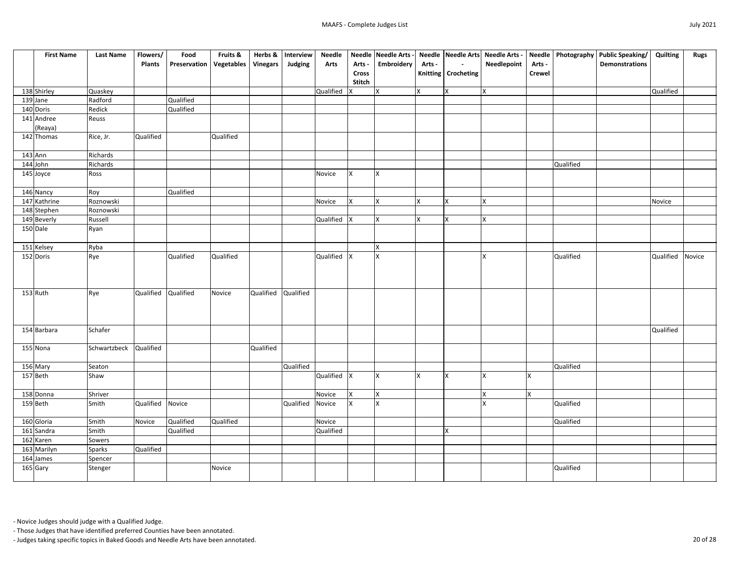| <b>First Name</b> | <b>Last Name</b> | Flowers/         | Food                             | Fruits &  | Herbs &         | Interview | <b>Needle</b> |              | Needle Needle Arts -    |        |                       | Needle Needle Arts Needle Arts - |                |           | Needle   Photography   Public Speaking/ | Quilting  | <b>Rugs</b> |
|-------------------|------------------|------------------|----------------------------------|-----------|-----------------|-----------|---------------|--------------|-------------------------|--------|-----------------------|----------------------------------|----------------|-----------|-----------------------------------------|-----------|-------------|
|                   |                  | <b>Plants</b>    | <b>Preservation   Vegetables</b> |           | <b>Vinegars</b> | Judging   | <b>Arts</b>   | Arts -       | Embroidery              | Arts - | $\sim$                | Needlepoint                      | Arts -         |           | <b>Demonstrations</b>                   |           |             |
|                   |                  |                  |                                  |           |                 |           |               | <b>Cross</b> |                         |        | Knitting   Crocheting |                                  | <b>Crewel</b>  |           |                                         |           |             |
|                   |                  |                  |                                  |           |                 |           |               | Stitch       |                         |        |                       |                                  |                |           |                                         |           |             |
| 138 Shirley       | Quaskey          |                  |                                  |           |                 |           | Qualified     | v            | X                       | lx.    | lx.                   | $\mathsf{X}$                     |                |           |                                         | Qualified |             |
| 139 Jane          | Radford          |                  | Qualified                        |           |                 |           |               |              |                         |        |                       |                                  |                |           |                                         |           |             |
| 140 Doris         | Redick           |                  | Qualified                        |           |                 |           |               |              |                         |        |                       |                                  |                |           |                                         |           |             |
| 141 Andree        | Reuss            |                  |                                  |           |                 |           |               |              |                         |        |                       |                                  |                |           |                                         |           |             |
| (Reaya)           |                  |                  |                                  |           |                 |           |               |              |                         |        |                       |                                  |                |           |                                         |           |             |
| 142 Thomas        | Rice, Jr.        | <b>Qualified</b> |                                  | Qualified |                 |           |               |              |                         |        |                       |                                  |                |           |                                         |           |             |
|                   |                  |                  |                                  |           |                 |           |               |              |                         |        |                       |                                  |                |           |                                         |           |             |
| $143$ Ann         | Richards         |                  |                                  |           |                 |           |               |              |                         |        |                       |                                  |                |           |                                         |           |             |
| $144$ John        | Richards         |                  |                                  |           |                 |           |               |              |                         |        |                       |                                  |                | Qualified |                                         |           |             |
| 145 Joyce         | Ross             |                  |                                  |           |                 |           | Novice        | IX.          |                         |        |                       |                                  |                |           |                                         |           |             |
|                   |                  |                  |                                  |           |                 |           |               |              |                         |        |                       |                                  |                |           |                                         |           |             |
| 146 Nancy         | Roy              |                  | Qualified                        |           |                 |           |               |              |                         |        |                       |                                  |                |           |                                         |           |             |
| 147 Kathrine      | Roznowski        |                  |                                  |           |                 |           | Novice        | X.           |                         |        | lx.                   | X                                |                |           |                                         | Novice    |             |
| 148 Stephen       | Roznowski        |                  |                                  |           |                 |           |               |              |                         |        |                       |                                  |                |           |                                         |           |             |
| 149 Beverly       | Russell          |                  |                                  |           |                 |           | Qualified     | v            |                         |        | lx.                   | $\mathsf{\chi}$                  |                |           |                                         |           |             |
| 150 Dale          | Ryan             |                  |                                  |           |                 |           |               |              |                         |        |                       |                                  |                |           |                                         |           |             |
|                   |                  |                  |                                  |           |                 |           |               |              |                         |        |                       |                                  |                |           |                                         |           |             |
| 151 Kelsey        | Ryba             |                  |                                  |           |                 |           |               |              |                         |        |                       |                                  |                |           |                                         |           |             |
| 152 Doris         | Rye              |                  | Qualified                        | Qualified |                 |           | Qualified     | $\mathsf{X}$ |                         |        |                       |                                  |                | Qualified |                                         | Qualified | Novice      |
|                   |                  |                  |                                  |           |                 |           |               |              |                         |        |                       |                                  |                |           |                                         |           |             |
|                   |                  |                  |                                  |           |                 |           |               |              |                         |        |                       |                                  |                |           |                                         |           |             |
| 153 Ruth          |                  | Qualified        | Qualified                        | Novice    | Qualified       | Qualified |               |              |                         |        |                       |                                  |                |           |                                         |           |             |
|                   | Rye              |                  |                                  |           |                 |           |               |              |                         |        |                       |                                  |                |           |                                         |           |             |
|                   |                  |                  |                                  |           |                 |           |               |              |                         |        |                       |                                  |                |           |                                         |           |             |
|                   |                  |                  |                                  |           |                 |           |               |              |                         |        |                       |                                  |                |           |                                         |           |             |
| 154 Barbara       | Schafer          |                  |                                  |           |                 |           |               |              |                         |        |                       |                                  |                |           |                                         | Qualified |             |
|                   |                  |                  |                                  |           |                 |           |               |              |                         |        |                       |                                  |                |           |                                         |           |             |
| 155 Nona          | Schwartzbeck     | <b>Qualified</b> |                                  |           | Qualified       |           |               |              |                         |        |                       |                                  |                |           |                                         |           |             |
|                   |                  |                  |                                  |           |                 |           |               |              |                         |        |                       |                                  |                |           |                                         |           |             |
| 156 Mary          | Seaton           |                  |                                  |           |                 | Qualified |               |              |                         |        |                       |                                  |                | Qualified |                                         |           |             |
| 157 Beth          | Shaw             |                  |                                  |           |                 |           | Qualified     | $\mathsf{X}$ | ΙX                      |        | lx                    | $\mathsf{x}$                     | $\mathsf{X}$   |           |                                         |           |             |
|                   |                  |                  |                                  |           |                 |           |               |              |                         |        |                       |                                  |                |           |                                         |           |             |
| 158 Donna         | Shriver          |                  |                                  |           |                 |           | Novice        | Ix.          | $\overline{\mathsf{x}}$ |        |                       | X                                | $\mathsf{X}^-$ |           |                                         |           |             |
| 159 Beth          | Smith            | Qualified        | Novice                           |           |                 | Qualified | Novice        | lx.          |                         |        |                       | $\mathbf{x}$                     |                | Qualified |                                         |           |             |
|                   |                  |                  |                                  |           |                 |           |               |              |                         |        |                       |                                  |                |           |                                         |           |             |
| 160 Gloria        | Smith            | Novice           | Qualified                        | Qualified |                 |           | Novice        |              |                         |        |                       |                                  |                | Qualified |                                         |           |             |
| 161 Sandra        | Smith            |                  | Qualified                        |           |                 |           | Qualified     |              |                         |        | X                     |                                  |                |           |                                         |           |             |
| 162 Karen         | Sowers           |                  |                                  |           |                 |           |               |              |                         |        |                       |                                  |                |           |                                         |           |             |
| 163 Marilyn       | <b>Sparks</b>    | <b>Qualified</b> |                                  |           |                 |           |               |              |                         |        |                       |                                  |                |           |                                         |           |             |
| 164 James         | Spencer          |                  |                                  |           |                 |           |               |              |                         |        |                       |                                  |                |           |                                         |           |             |
| 165 Gary          | Stenger          |                  |                                  | Novice    |                 |           |               |              |                         |        |                       |                                  |                | Qualified |                                         |           |             |
|                   |                  |                  |                                  |           |                 |           |               |              |                         |        |                       |                                  |                |           |                                         |           |             |

- Those Judges that have identified preferred Counties have been annotated.

- Judges taking specific topics in Baked Goods and Needle Arts have been annotated. 20 of 28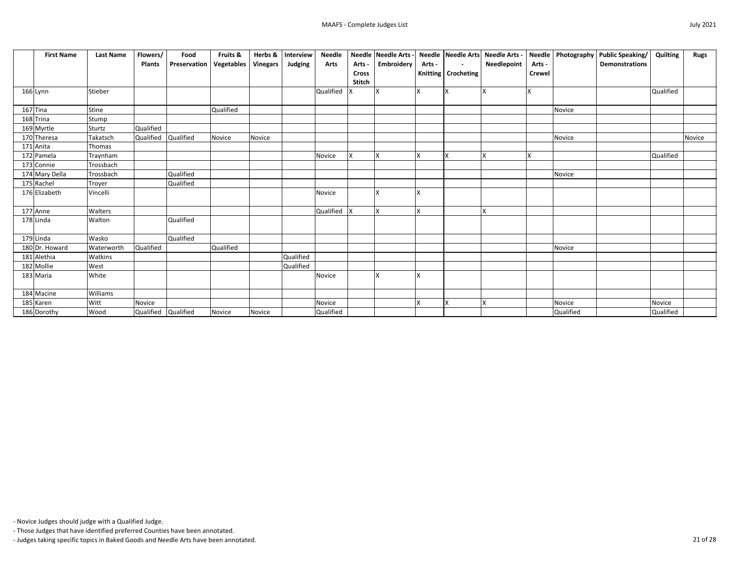| <b>First Name</b> | <b>Last Name</b> | Flowers/            | Food         | Fruits &          | Herbs &         | Interview | <b>Needle</b> |               | Needle Needle Arts - |        |                       | Needle Needle Arts Needle Arts - |               |           | Needle   Photography   Public Speaking/   Quilting |           | <b>Rugs</b> |
|-------------------|------------------|---------------------|--------------|-------------------|-----------------|-----------|---------------|---------------|----------------------|--------|-----------------------|----------------------------------|---------------|-----------|----------------------------------------------------|-----------|-------------|
|                   |                  | <b>Plants</b>       | Preservation | <b>Vegetables</b> | <b>Vinegars</b> | Judging   | <b>Arts</b>   | Arts -        | Embroidery           | Arts - | $\sim$                | Needlepoint                      | Arts -        |           | <b>Demonstrations</b>                              |           |             |
|                   |                  |                     |              |                   |                 |           |               | <b>Cross</b>  |                      |        | Knitting   Crocheting |                                  | <b>Crewel</b> |           |                                                    |           |             |
|                   |                  |                     |              |                   |                 |           |               | <b>Stitch</b> |                      |        |                       |                                  |               |           |                                                    |           |             |
| 166 Lynn          | Stieber          |                     |              |                   |                 |           | Qualified     |               | Ιx                   |        |                       |                                  | <b>X</b>      |           |                                                    | Qualified |             |
|                   |                  |                     |              |                   |                 |           |               |               |                      |        |                       |                                  |               |           |                                                    |           |             |
| $167$ Tina        | Stine            |                     |              | Qualified         |                 |           |               |               |                      |        |                       |                                  |               | Novice    |                                                    |           |             |
| 168 Trina         | Stump            |                     |              |                   |                 |           |               |               |                      |        |                       |                                  |               |           |                                                    |           |             |
| 169 Myrtle        | Sturtz           | Qualified           |              |                   |                 |           |               |               |                      |        |                       |                                  |               |           |                                                    |           |             |
| 170 Theresa       | Takatsch         | <b>Qualified</b>    | Qualified    | Novice            | Novice          |           |               |               |                      |        |                       |                                  |               | Novice    |                                                    |           | Novice      |
| 171 Anita         | Thomas           |                     |              |                   |                 |           |               |               |                      |        |                       |                                  |               |           |                                                    |           |             |
| 172 Pamela        | Traynham         |                     |              |                   |                 |           | Novice        | X.            | lχ                   |        |                       | X                                |               |           |                                                    | Qualified |             |
| 173 Connie        | Trossbach        |                     |              |                   |                 |           |               |               |                      |        |                       |                                  |               |           |                                                    |           |             |
| 174 Mary Della    | Trossbach        |                     | Qualified    |                   |                 |           |               |               |                      |        |                       |                                  |               | Novice    |                                                    |           |             |
| 175 Rachel        | Troyer           |                     | Qualified    |                   |                 |           |               |               |                      |        |                       |                                  |               |           |                                                    |           |             |
| 176 Elizabeth     | Vincelli         |                     |              |                   |                 |           | Novice        |               |                      |        |                       |                                  |               |           |                                                    |           |             |
|                   |                  |                     |              |                   |                 |           |               |               |                      |        |                       |                                  |               |           |                                                    |           |             |
| 177 Anne          | Walters          |                     |              |                   |                 |           | Qualified  X  |               | Ιx                   | X      |                       | $\mathsf{X}$                     |               |           |                                                    |           |             |
| 178 Linda         | Walton           |                     | Qualified    |                   |                 |           |               |               |                      |        |                       |                                  |               |           |                                                    |           |             |
|                   |                  |                     |              |                   |                 |           |               |               |                      |        |                       |                                  |               |           |                                                    |           |             |
| 179 Linda         | Wasko            |                     | Qualified    |                   |                 |           |               |               |                      |        |                       |                                  |               |           |                                                    |           |             |
| 180 Dr. Howard    | Waterworth       | Qualified           |              | Qualified         |                 |           |               |               |                      |        |                       |                                  |               | Novice    |                                                    |           |             |
| 181 Alethia       | Watkins          |                     |              |                   |                 | Qualified |               |               |                      |        |                       |                                  |               |           |                                                    |           |             |
| 182 Mollie        | West             |                     |              |                   |                 | Qualified |               |               |                      |        |                       |                                  |               |           |                                                    |           |             |
| 183 Maria         | White            |                     |              |                   |                 |           | Novice        |               |                      |        |                       |                                  |               |           |                                                    |           |             |
|                   |                  |                     |              |                   |                 |           |               |               |                      |        |                       |                                  |               |           |                                                    |           |             |
| 184 Macine        | Williams         |                     |              |                   |                 |           |               |               |                      |        |                       |                                  |               |           |                                                    |           |             |
| 185 Karen         | Witt             | Novice              |              |                   |                 |           | Novice        |               |                      |        |                       | $\mathsf{x}$                     |               | Novice    |                                                    | Novice    |             |
| 186 Dorothy       | Wood             | Qualified Qualified |              | Novice            | Novice          |           | Qualified     |               |                      |        |                       |                                  |               | Qualified |                                                    | Qualified |             |

- Those Judges that have identified preferred Counties have been annotated.

- Judges taking specific topics in Baked Goods and Needle Arts have been annotated. 21 of 28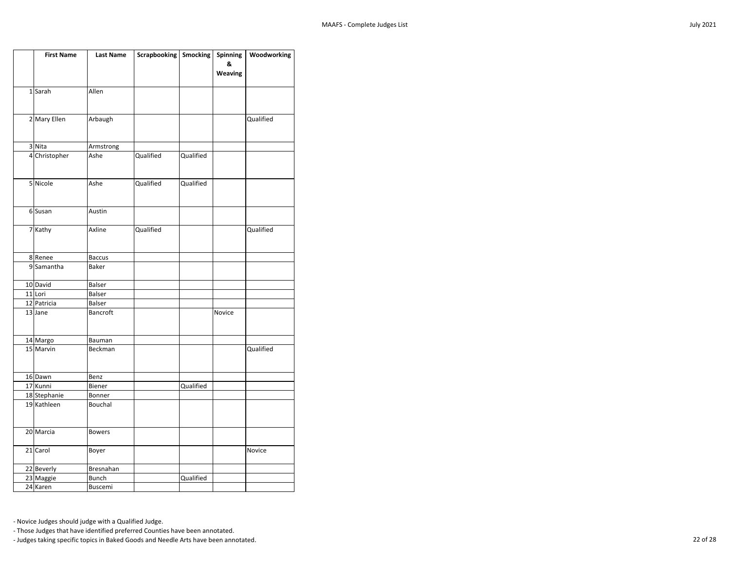| <b>First Name</b>      | <b>Last Name</b>                 | Scrapbooking   Smocking |           | <b>Spinning</b> | Woodworking |
|------------------------|----------------------------------|-------------------------|-----------|-----------------|-------------|
|                        |                                  |                         |           | &               |             |
|                        |                                  |                         |           | Weaving         |             |
| 1Sarah                 | Allen                            |                         |           |                 |             |
|                        |                                  |                         |           |                 |             |
|                        |                                  |                         |           |                 |             |
| 2 Mary Ellen           | Arbaugh                          |                         |           |                 | Qualified   |
|                        |                                  |                         |           |                 |             |
| 3 Nita                 | Armstrong                        |                         |           |                 |             |
| 4 Christopher          | Ashe                             | Qualified               | Qualified |                 |             |
|                        |                                  |                         |           |                 |             |
|                        |                                  |                         |           |                 |             |
| 5 Nicole               | Ashe                             | Qualified               | Qualified |                 |             |
|                        |                                  |                         |           |                 |             |
|                        |                                  |                         |           |                 |             |
| 6 Susan                | Austin                           |                         |           |                 |             |
| 7 Kathy                | Axline                           | Qualified               |           |                 | Qualified   |
|                        |                                  |                         |           |                 |             |
|                        |                                  |                         |           |                 |             |
| 8Renee                 | <b>Baccus</b>                    |                         |           |                 |             |
| 9 Samantha             | Baker                            |                         |           |                 |             |
|                        |                                  |                         |           |                 |             |
| 10 David               | Balser                           |                         |           |                 |             |
| 11 Lori                | Balser                           |                         |           |                 |             |
| 12 Patricia<br>13 Jane | <b>Balser</b><br><b>Bancroft</b> |                         |           | Novice          |             |
|                        |                                  |                         |           |                 |             |
|                        |                                  |                         |           |                 |             |
| 14 Margo               | Bauman                           |                         |           |                 |             |
| 15 Marvin              | Beckman                          |                         |           |                 | Qualified   |
|                        |                                  |                         |           |                 |             |
|                        |                                  |                         |           |                 |             |
| 16 Dawn<br>17 Kunni    | Benz                             |                         |           |                 |             |
| 18 Stephanie           | Biener<br>Bonner                 |                         | Qualified |                 |             |
| 19 Kathleen            | Bouchal                          |                         |           |                 |             |
|                        |                                  |                         |           |                 |             |
|                        |                                  |                         |           |                 |             |
| 20 Marcia              | <b>Bowers</b>                    |                         |           |                 |             |
|                        |                                  |                         |           |                 |             |
| 21 Carol               | Boyer                            |                         |           |                 | Novice      |
|                        |                                  |                         |           |                 |             |
| 22 Beverly             | Bresnahan                        |                         |           |                 |             |
| 23 Maggie<br>24 Karen  | <b>Bunch</b>                     |                         | Qualified |                 |             |
|                        | Buscemi                          |                         |           |                 |             |

- Those Judges that have identified preferred Counties have been annotated.

- Judges taking specific topics in Baked Goods and Needle Arts have been annotated. 22 of 28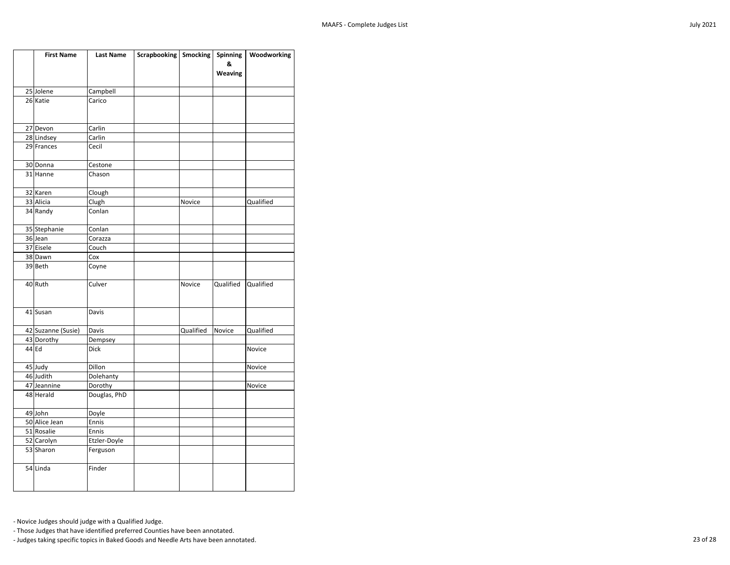| <b>First Name</b>  | Last Name    | Scrapbooking   Smocking |               | <b>Spinning</b> | Woodworking |
|--------------------|--------------|-------------------------|---------------|-----------------|-------------|
|                    |              |                         |               | &               |             |
|                    |              |                         |               | <b>Weaving</b>  |             |
| 25 Jolene          | Campbell     |                         |               |                 |             |
| 26 Katie           | Carico       |                         |               |                 |             |
|                    |              |                         |               |                 |             |
|                    |              |                         |               |                 |             |
| 27 Devon           | Carlin       |                         |               |                 |             |
| 28 Lindsey         | Carlin       |                         |               |                 |             |
| 29 Frances         | Cecil        |                         |               |                 |             |
| 30 Donna           | Cestone      |                         |               |                 |             |
| 31 Hanne           | Chason       |                         |               |                 |             |
|                    |              |                         |               |                 |             |
| 32 Karen           | Clough       |                         |               |                 |             |
| 33 Alicia          | Clugh        |                         | Novice        |                 | Qualified   |
| 34 Randy           | Conlan       |                         |               |                 |             |
|                    |              |                         |               |                 |             |
| 35 Stephanie       | Conlan       |                         |               |                 |             |
| 36 Jean            | Corazza      |                         |               |                 |             |
| 37 Eisele          | Couch        |                         |               |                 |             |
| 38 Dawn            | Cox          |                         |               |                 |             |
| 39 Beth            | Coyne        |                         |               |                 |             |
| 40 Ruth            | Culver       |                         | <b>Novice</b> | Qualified       | Qualified   |
|                    |              |                         |               |                 |             |
|                    |              |                         |               |                 |             |
| 41 Susan           | Davis        |                         |               |                 |             |
|                    |              |                         |               |                 |             |
| 42 Suzanne (Susie) | Davis        |                         | Qualified     | Novice          | Qualified   |
| 43 Dorothy         | Dempsey      |                         |               |                 |             |
| 44 Ed              | <b>Dick</b>  |                         |               |                 | Novice      |
| 45 Judy            | Dillon       |                         |               |                 | Novice      |
| 46 Judith          | Dolehanty    |                         |               |                 |             |
| 47 Jeannine        | Dorothy      |                         |               |                 | Novice      |
| 48 Herald          | Douglas, PhD |                         |               |                 |             |
|                    |              |                         |               |                 |             |
| 49 John            | Doyle        |                         |               |                 |             |
| 50 Alice Jean      | Ennis        |                         |               |                 |             |
| 51 Rosalie         | Ennis        |                         |               |                 |             |
| 52 Carolyn         | Etzler-Doyle |                         |               |                 |             |
| 53 Sharon          | Ferguson     |                         |               |                 |             |
| 54 Linda           | Finder       |                         |               |                 |             |
|                    |              |                         |               |                 |             |
|                    |              |                         |               |                 |             |

- Those Judges that have identified preferred Counties have been annotated.

- Judges taking specific topics in Baked Goods and Needle Arts have been annotated. 23 of 28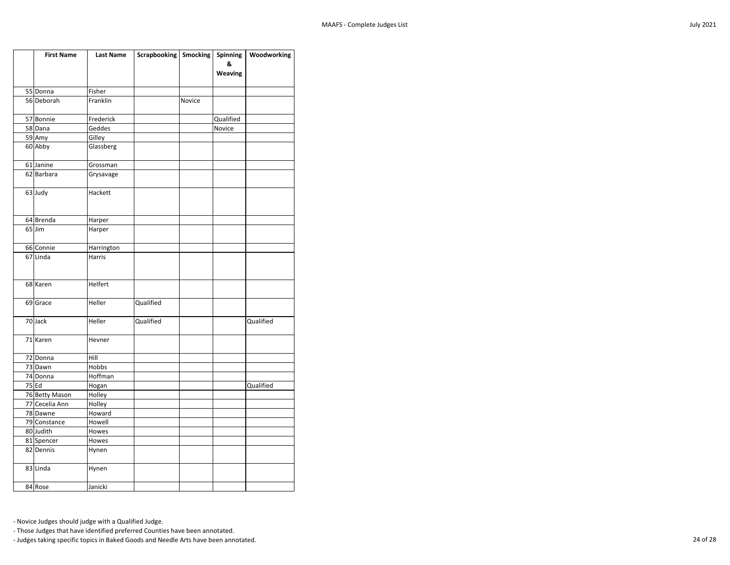| <b>First Name</b>          | <b>Last Name</b> | Scrapbooking   Smocking |        | <b>Spinning</b> | Woodworking |
|----------------------------|------------------|-------------------------|--------|-----------------|-------------|
|                            |                  |                         |        | &               |             |
|                            |                  |                         |        | <b>Weaving</b>  |             |
|                            |                  |                         |        |                 |             |
| 55 Donna                   | Fisher           |                         |        |                 |             |
| 56 Deborah                 | Franklin         |                         | Novice |                 |             |
| 57 Bonnie                  | Frederick        |                         |        | Qualified       |             |
| 58 Dana                    | Geddes           |                         |        | Novice          |             |
| 59 Amy                     | Gilley           |                         |        |                 |             |
| 60 Abby                    | Glassberg        |                         |        |                 |             |
|                            |                  |                         |        |                 |             |
| 61 Janine                  | Grossman         |                         |        |                 |             |
| 62 Barbara                 | Grysavage        |                         |        |                 |             |
|                            |                  |                         |        |                 |             |
| 63 Judy                    | Hackett          |                         |        |                 |             |
|                            |                  |                         |        |                 |             |
|                            |                  |                         |        |                 |             |
| 64 Brenda                  | Harper           |                         |        |                 |             |
| $65$ Jim                   | Harper           |                         |        |                 |             |
|                            |                  |                         |        |                 |             |
| 66 Connie                  | Harrington       |                         |        |                 |             |
| 67 Linda                   | Harris           |                         |        |                 |             |
|                            |                  |                         |        |                 |             |
| 68 Karen                   | Helfert          |                         |        |                 |             |
|                            |                  |                         |        |                 |             |
| 69 Grace                   | Heller           | Qualified               |        |                 |             |
|                            |                  |                         |        |                 |             |
| 70 Jack                    | Heller           | Qualified               |        |                 | Qualified   |
|                            |                  |                         |        |                 |             |
| 71 Karen                   | Hevner           |                         |        |                 |             |
|                            |                  |                         |        |                 |             |
| 72 Donna                   | Hill             |                         |        |                 |             |
| 73 Dawn                    | Hobbs            |                         |        |                 |             |
| 74 Donna                   | Hoffman          |                         |        |                 |             |
| $75$ Ed                    | Hogan            |                         |        |                 | Qualified   |
| 76 Betty Mason             | Holley           |                         |        |                 |             |
| 77 Cecelia Ann<br>78 Dawne | Holley<br>Howard |                         |        |                 |             |
| 79 Constance               | Howell           |                         |        |                 |             |
| 80 Judith                  | Howes            |                         |        |                 |             |
| 81 Spencer                 | Howes            |                         |        |                 |             |
| 82 Dennis                  | Hynen            |                         |        |                 |             |
|                            |                  |                         |        |                 |             |
| 83 Linda                   | Hynen            |                         |        |                 |             |
|                            |                  |                         |        |                 |             |
| 84 Rose                    | Janicki          |                         |        |                 |             |

- Those Judges that have identified preferred Counties have been annotated.

- Judges taking specific topics in Baked Goods and Needle Arts have been annotated. 24 of 28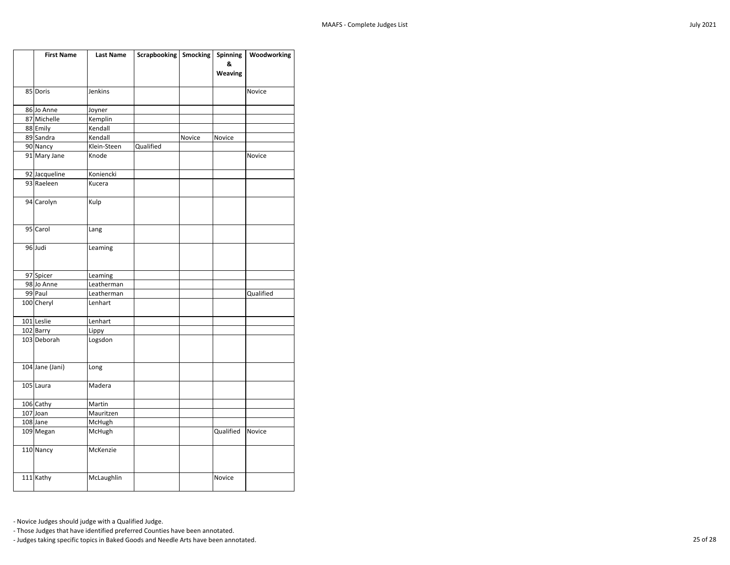| <b>First Name</b>      | <b>Last Name</b> | Scrapbooking   Smocking |        | <b>Spinning</b> | Woodworking |
|------------------------|------------------|-------------------------|--------|-----------------|-------------|
|                        |                  |                         |        | &               |             |
|                        |                  |                         |        | <b>Weaving</b>  |             |
|                        |                  |                         |        |                 |             |
| 85 Doris               | Jenkins          |                         |        |                 | Novice      |
| 86 Jo Anne             | Joyner           |                         |        |                 |             |
| 87 Michelle            | Kemplin          |                         |        |                 |             |
| 88 Emily               | Kendall          |                         |        |                 |             |
| 89 Sandra              | Kendall          |                         | Novice | Novice          |             |
| 90 Nancy               | Klein-Steen      | Qualified               |        |                 |             |
| 91 Mary Jane           | Knode            |                         |        |                 | Novice      |
| 92 Jacqueline          | Koniencki        |                         |        |                 |             |
| 93 Raeleen             | Kucera           |                         |        |                 |             |
| 94 Carolyn             | Kulp             |                         |        |                 |             |
| 95 Carol               | Lang             |                         |        |                 |             |
| 96 Judi                | Leaming          |                         |        |                 |             |
| 97 Spicer              | Leaming          |                         |        |                 |             |
| 98 Jo Anne             | Leatherman       |                         |        |                 |             |
| 99 Paul                | Leatherman       |                         |        |                 | Qualified   |
| 100 Cheryl             | Lenhart          |                         |        |                 |             |
| 101 Leslie             | Lenhart          |                         |        |                 |             |
| 102 Barry              | Lippy            |                         |        |                 |             |
| 103 Deborah            | Logsdon          |                         |        |                 |             |
| 104 Jane (Jani)        | Long             |                         |        |                 |             |
| 105 Laura              | Madera           |                         |        |                 |             |
| 106 Cathy              | Martin           |                         |        |                 |             |
| $107$ Joan             | Mauritzen        |                         |        |                 |             |
| 108 Jane               | McHugh           |                         |        |                 |             |
| 109 Megan              | McHugh           |                         |        | Qualified       | Novice      |
| $\overline{110}$ Nancy | McKenzie         |                         |        |                 |             |
| 111 Kathy              | McLaughlin       |                         |        | Novice          |             |

- Those Judges that have identified preferred Counties have been annotated.

- Judges taking specific topics in Baked Goods and Needle Arts have been annotated. 25 of 28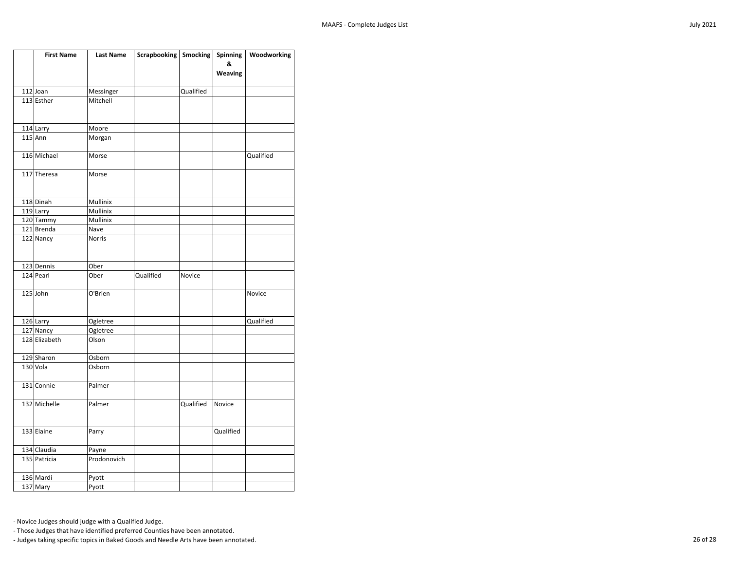| <b>First Name</b>     | <b>Last Name</b> | Scrapbooking   Smocking |           | <b>Spinning</b> | Woodworking |
|-----------------------|------------------|-------------------------|-----------|-----------------|-------------|
|                       |                  |                         |           | &               |             |
|                       |                  |                         |           | <b>Weaving</b>  |             |
|                       |                  |                         |           |                 |             |
| $112$ Joan            | Messinger        |                         | Qualified |                 |             |
| 113 Esther            | Mitchell         |                         |           |                 |             |
|                       |                  |                         |           |                 |             |
| 114 Larry             | Moore            |                         |           |                 |             |
| $115$ Ann             | Morgan           |                         |           |                 |             |
|                       |                  |                         |           |                 |             |
| 116 Michael           | Morse            |                         |           |                 | Qualified   |
|                       |                  |                         |           |                 |             |
| 117 Theresa           | Morse            |                         |           |                 |             |
|                       |                  |                         |           |                 |             |
| 118 Dinah             | Mullinix         |                         |           |                 |             |
| 119 Larry             | Mullinix         |                         |           |                 |             |
| 120 Tammy             | Mullinix         |                         |           |                 |             |
| 121 Brenda            | Nave             |                         |           |                 |             |
| 122 Nancy             | <b>Norris</b>    |                         |           |                 |             |
|                       |                  |                         |           |                 |             |
|                       |                  |                         |           |                 |             |
| 123 Dennis            | Ober             |                         |           |                 |             |
| 124 Pearl             | Ober             | Qualified               | Novice    |                 |             |
|                       |                  |                         |           |                 |             |
| 125 John              | O'Brien          |                         |           |                 | Novice      |
|                       |                  |                         |           |                 |             |
| 126 Larry             | Ogletree         |                         |           |                 | Qualified   |
| 127 Nancy             | Ogletree         |                         |           |                 |             |
| 128 Elizabeth         | Olson            |                         |           |                 |             |
|                       |                  |                         |           |                 |             |
| 129 Sharon            | Osborn           |                         |           |                 |             |
| 130 Vola              | Osborn           |                         |           |                 |             |
|                       |                  |                         |           |                 |             |
| 131 Connie            | Palmer           |                         |           |                 |             |
| 132 Michelle          | Palmer           |                         | Qualified | Novice          |             |
|                       |                  |                         |           |                 |             |
|                       |                  |                         |           |                 |             |
| 133 Elaine            | Parry            |                         |           | Qualified       |             |
|                       |                  |                         |           |                 |             |
| 134 Claudia           | Payne            |                         |           |                 |             |
| 135 Patricia          | Prodonovich      |                         |           |                 |             |
|                       |                  |                         |           |                 |             |
| 136 Mardi<br>137 Mary | Pyott            |                         |           |                 |             |
|                       | Pyott            |                         |           |                 |             |

- Those Judges that have identified preferred Counties have been annotated.

- Judges taking specific topics in Baked Goods and Needle Arts have been annotated. 26 of 28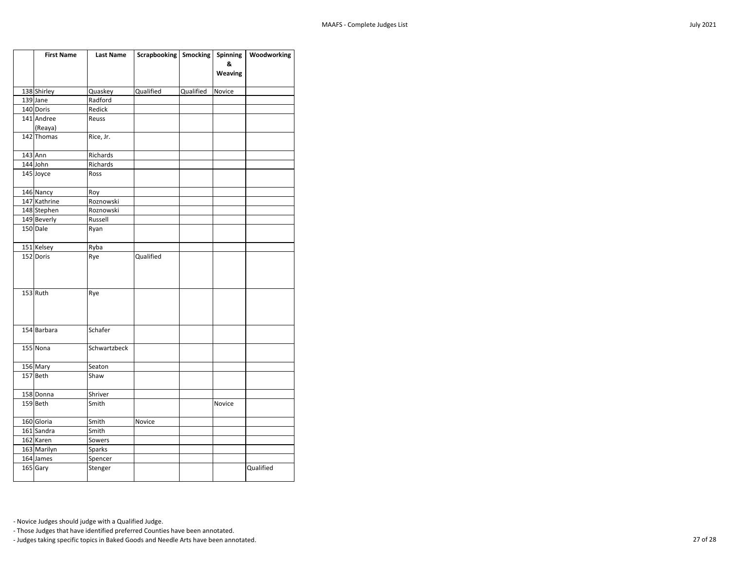| <b>First Name</b> | <b>Last Name</b> | Scrapbooking   Smocking |           | Spinning       | Woodworking |
|-------------------|------------------|-------------------------|-----------|----------------|-------------|
|                   |                  |                         |           | &              |             |
|                   |                  |                         |           | <b>Weaving</b> |             |
| 138 Shirley       | Quaskey          | Qualified               | Qualified | Novice         |             |
| 139 Jane          | Radford          |                         |           |                |             |
| 140 Doris         | Redick           |                         |           |                |             |
| 141 Andree        | Reuss            |                         |           |                |             |
| (Reaya)           |                  |                         |           |                |             |
| 142 Thomas        | Rice, Jr.        |                         |           |                |             |
| $143$ Ann         | Richards         |                         |           |                |             |
| 144 John          | Richards         |                         |           |                |             |
| 145 Joyce         | Ross             |                         |           |                |             |
| 146 Nancy         | Roy              |                         |           |                |             |
| 147 Kathrine      | Roznowski        |                         |           |                |             |
| 148 Stephen       | Roznowski        |                         |           |                |             |
| 149 Beverly       | Russell          |                         |           |                |             |
| 150 Dale          | Ryan             |                         |           |                |             |
| 151 Kelsey        | Ryba             |                         |           |                |             |
| 152 Doris         | Rye              | Qualified               |           |                |             |
| $153$ Ruth        | Rye              |                         |           |                |             |
| 154 Barbara       | Schafer          |                         |           |                |             |
| 155 Nona          | Schwartzbeck     |                         |           |                |             |
| 156 Mary          | Seaton           |                         |           |                |             |
| 157 Beth          | Shaw             |                         |           |                |             |
| 158 Donna         | Shriver          |                         |           |                |             |
| 159 Beth          | Smith            |                         |           | Novice         |             |
| 160 Gloria        | Smith            | Novice                  |           |                |             |
| 161 Sandra        | Smith            |                         |           |                |             |
| 162 Karen         | Sowers           |                         |           |                |             |
| 163 Marilyn       | <b>Sparks</b>    |                         |           |                |             |
| 164 James         | Spencer          |                         |           |                |             |
| 165 Gary          | Stenger          |                         |           |                | Qualified   |

- Those Judges that have identified preferred Counties have been annotated.

- Judges taking specific topics in Baked Goods and Needle Arts have been annotated. 27 of 28